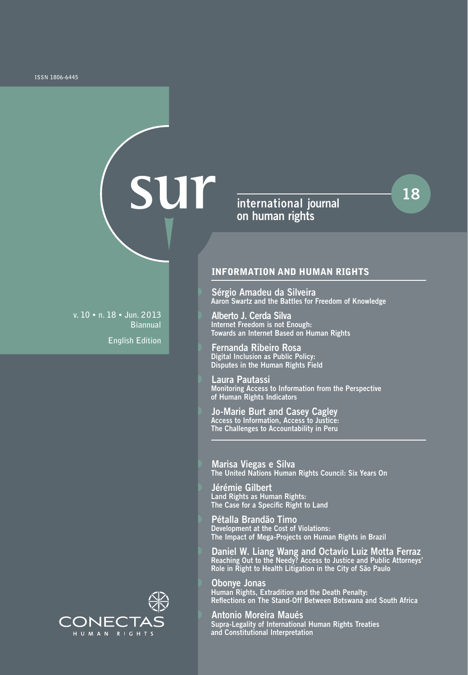**international journal on human rights**

**v. 10 • n. 18 • Jun. 2013 Biannual English Edition**

sur



## **INFORMATION AND HUMAN RIGHTS**

 **Sérgio Amadeu da Silveira Aaron Swartz and the Battles for Freedom of Knowledge**

 **Alberto J. Cerda Silva Internet Freedom is not Enough: Towards an Internet Based on Human Rights**

 **Fernanda Ribeiro Rosa Digital Inclusion as Public Policy: Disputes in the Human Rights Field**

 **Laura Pautassi Monitoring Access to Information from the Perspective of Human Rights Indicators** 

 **Jo-Marie Burt and Casey Cagley Access to Information, Access to Justice: The Challenges to Accountability in Peru**

 **Marisa Viegas e Silva The United Nations Human Rights Council: Six Years On**

 **Jérémie Gilbert Land Rights as Human Rights: The Case for a Specific Right to Land** 

 **Pétalla Brandão Timo Development at the Cost of Violations: The Impact of Mega-Projects on Human Rights in Brazil**

 **Daniel W. Liang Wang and Octavio Luiz Motta Ferraz Reaching Out to the Needy? Access to Justice and Public Attorneys' Role in Right to Health Litigation in the City of São Paulo**

 **Obonye Jonas Human Rights, Extradition and the Death Penalty: Refl ections on The Stand-Off Between Botswana and South Africa**

 **Antonio Moreira Maués Supra-Legality of International Human Rights Treaties and Constitutional Interpretation**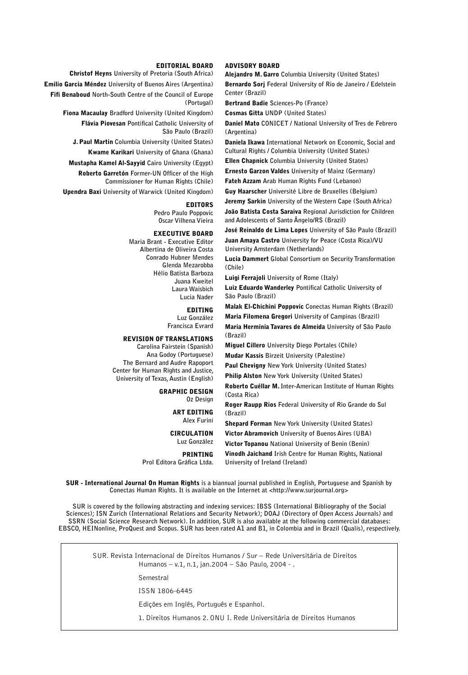### **EDITORIAL BOARD**

**Christof Heyns University of Pretoria (South Africa)**

**Emilio García Méndez University of Buenos Aires (Argentina) Fifi Benaboud North-South Centre of the Council of Europe (Portugal)**

> **Fiona Macaulay Bradford University (United Kingdom) Flávia Piovesan Pontifical Catholic University of São Paulo (Brazil)**

**J. Paul Martin Columbia University (United States) Kwame Karikari University of Ghana (Ghana)**

**Mustapha Kamel Al-Sayyid Cairo University (Egypt) Roberto Garretón Former-UN Officer of the High Commissioner for Human Rights (Chile)**

**Upendra Baxi University of Warwick (United Kingdom)**

#### **EDITORS**

**Pedro Paulo Poppovic Oscar Vilhena Vieira**

#### **EXECUTIVE BOARD**

**Maria Brant - Executive Editor Albertina de Oliveira Costa Conrado Hubner Mendes Glenda Mezarobba Hélio Batista Barboza Juana Kweitel Laura Waisbich Lucia Nader**

**EDITING**

**Luz González Francisca Evrard** 

#### **REVISION OF TRANSLATIONS**

**Carolina Fairstein (Spanish) Ana Godoy (Portuguese) The Bernard and Audre Rapoport Center for Human Rights and Justice, University of Texas, Austin (English)** 

> **GRAPHIC DESIGN Oz Design**

> > **ART EDITING**

**Alex Furini**

**CIRCULATION**

**Luz González**

**PRINTING**

**Prol Editora Gráfica Ltda.**

### **ADVISORY BOARD**

**Alejandro M. Garro Columbia University (United States) Bernardo Sorj Federal University of Rio de Janeiro / Edelstein Center (Brazil)**

**Bertrand Badie Sciences-Po (France)**

**Cosmas Gitta UNDP (United States)**

**Daniel Mato CONICET / National University of Tres de Febrero (Argentina)**

**Daniela Ikawa International Network on Economic, Social and Cultural Rights / Columbia University (United States)**

**Ellen Chapnick Columbia University (United States)**

**Ernesto Garzon Valdes University of Mainz (Germany)**

**Fateh Azzam Arab Human Rights Fund (Lebanon)**

**Guy Haarscher Université Libre de Bruxelles (Belgium)**

**Jeremy Sarkin University of the Western Cape (South Africa) João Batista Costa Saraiva Regional Jurisdiction for Children and Adolescents of Santo Ângelo/RS (Brazil)**

**José Reinaldo de Lima Lopes University of São Paulo (Brazil) Juan Amaya Castro University for Peace (Costa Rica)/VU University Amsterdam (Netherlands)**

**Lucia Dammert Global Consortium on Security Transformation (Chile)**

**Luigi Ferrajoli University of Rome (Italy)**

**Luiz Eduardo Wanderley Pontifical Catholic University of São Paulo (Brazil)**

**Malak El-Chichini Poppovic Conectas Human Rights (Brazil) Maria Filomena Gregori University of Campinas (Brazil) Maria Hermínia Tavares de Almeida University of São Paulo** 

**(Brazil)**

**Miguel Cillero University Diego Portales (Chile) Mudar Kassis Birzeit University (Palestine)**

**Paul Chevigny New York University (United States)**

**Philip Alston New York University (United States)**

**Roberto Cuéllar M. Inter-American Institute of Human Rights (Costa Rica)**

**Roger Raupp Rios Federal University of Rio Grande do Sul (Brazil)**

**Shepard Forman New York University (United States) Victor Abramovich University of Buenos Aires (UBA)**

**Victor Topanou National University of Benin (Benin)**

**Vinodh Jaichand Irish Centre for Human Rights, National University of Ireland (Ireland)**

**SUR - International Journal On Human Rights is a biannual journal published in English, Portuguese and Spanish by Conectas Human Rights. It is available on the Internet at <http://www.surjournal.org>**

**SUR is covered by the following abstracting and indexing services: IBSS (International Bibliography of the Social Sciences); ISN Zurich (International Relations and Security Network); DOAJ (Directory of Open Access Journals) and SSRN (Social Science Research Network). In addition, SUR is also available at the following commercial databases: EBSCO, HEINonline, ProQuest and Scopus. SUR has been rated A1 and B1, in Colombia and in Brazil (Qualis), respectively.**

SUR. Revista Internacional de Direitos Humanos / Sur – Rede Universitária de Direitos Humanos – v.1, n.1, jan.2004 – São Paulo, 2004 - .

Semestral

ISSN 1806-6445

Edições em Inglês, Português e Espanhol.

1. Direitos Humanos 2. ONU I. Rede Universitária de Direitos Humanos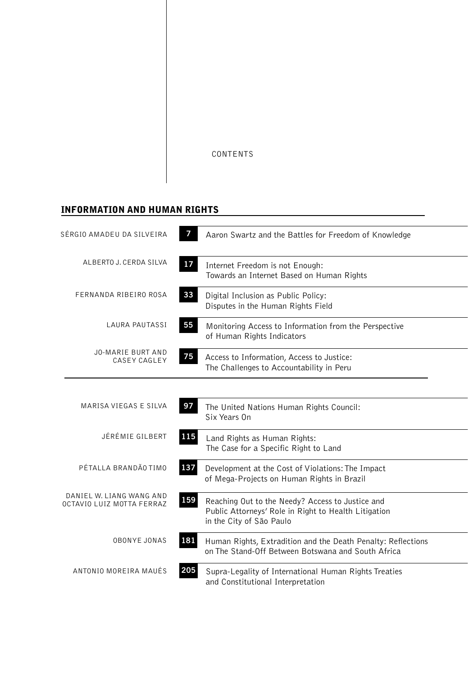CONTENTS

## **INFORMATION AND HUMAN RIGHTS**

| SÉRGIO AMADEU DA SILVEIRA                             | 7          | Aaron Swartz and the Battles for Freedom of Knowledge                                                                                |
|-------------------------------------------------------|------------|--------------------------------------------------------------------------------------------------------------------------------------|
| ALBERTO J. CERDA SILVA                                | 17         | Internet Freedom is not Enough:<br>Towards an Internet Based on Human Rights                                                         |
| FERNANDA RIBEIRO ROSA                                 | 33         | Digital Inclusion as Public Policy:<br>Disputes in the Human Rights Field                                                            |
| LAURA PAUTASSI                                        | 55         | Monitoring Access to Information from the Perspective<br>of Human Rights Indicators                                                  |
| <b>JO-MARIE BURT AND</b><br>CASEY CAGLEY              | 75         | Access to Information, Access to Justice:<br>The Challenges to Accountability in Peru                                                |
|                                                       |            |                                                                                                                                      |
| MARISA VIEGAS E SILVA                                 | 97         | The United Nations Human Rights Council:<br>Six Years On                                                                             |
| JÉRÉMIE GILBERT                                       | 115        | Land Rights as Human Rights:<br>The Case for a Specific Right to Land                                                                |
| PÉTALLA BRANDÃO TIMO                                  | 137        | Development at the Cost of Violations: The Impact<br>of Mega-Projects on Human Rights in Brazil                                      |
| DANIEL W. LIANG WANG AND<br>OCTAVIO LUIZ MOTTA FERRAZ | 159        | Reaching Out to the Needy? Access to Justice and<br>Public Attorneys' Role in Right to Health Litigation<br>in the City of São Paulo |
| <b>OBONYE JONAS</b>                                   | <b>181</b> | Human Rights, Extradition and the Death Penalty: Reflections<br>on The Stand-Off Between Botswana and South Africa                   |
| ANTONIO MOREIRA MAUÉS                                 | 205        | Supra-Legality of International Human Rights Treaties<br>and Constitutional Interpretation                                           |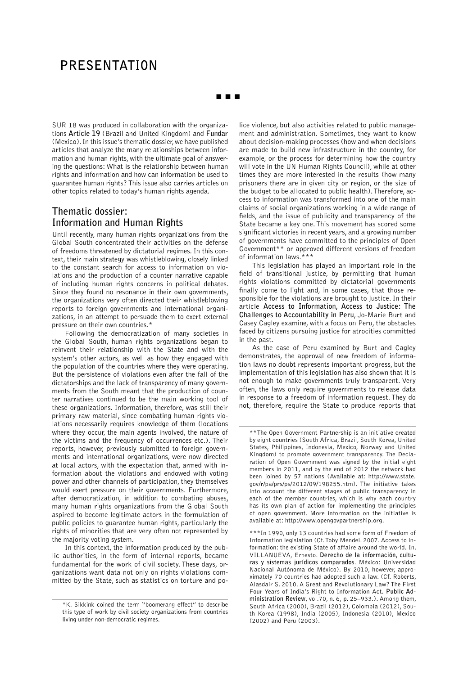## **PRESENTATION**

## ■ ■ ■

SUR 18 was produced in collaboration with the organizations **Article 19** (Brazil and United Kingdom) and **Fundar** (Mexico). In this issue's thematic dossier, we have published articles that analyze the many relationships between information and human rights, with the ultimate goal of answering the questions: What is the relationship between human rights and information and how can information be used to guarantee human rights? This issue also carries articles on other topics related to today's human rights agenda.

## **Thematic dossier: Information and Human Rights**

Until recently, many human rights organizations from the Global South concentrated their activities on the defense of freedoms threatened by dictatorial regimes. In this context, their main strategy was whistleblowing, closely linked to the constant search for access to information on violations and the production of a counter narrative capable of including human rights concerns in political debates. Since they found no resonance in their own governments, the organizations very often directed their whistleblowing reports to foreign governments and international organizations, in an attempt to persuade them to exert external pressure on their own countries.\*

Following the democratization of many societies in the Global South, human rights organizations began to reinvent their relationship with the State and with the system's other actors, as well as how they engaged with the population of the countries where they were operating. But the persistence of violations even after the fall of the dictatorships and the lack of transparency of many governments from the South meant that the production of counter narratives continued to be the main working tool of these organizations. Information, therefore, was still their primary raw material, since combating human rights violations necessarily requires knowledge of them (locations where they occur, the main agents involved, the nature of the victims and the frequency of occurrences etc.). Their reports, however, previously submitted to foreign governments and international organizations, were now directed at local actors, with the expectation that, armed with information about the violations and endowed with voting power and other channels of participation, they themselves would exert pressure on their governments. Furthermore, after democratization, in addition to combating abuses, many human rights organizations from the Global South aspired to become legitimate actors in the formulation of public policies to guarantee human rights, particularly the rights of minorities that are very often not represented by the majority voting system.

In this context, the information produced by the public authorities, in the form of internal reports, became fundamental for the work of civil society. These days, organizations want data not only on rights violations committed by the State, such as statistics on torture and po-

lice violence, but also activities related to public management and administration. Sometimes, they want to know about decision-making processes (how and when decisions are made to build new infrastructure in the country, for example, or the process for determining how the country will vote in the UN Human Rights Council), while at other times they are more interested in the results (how many prisoners there are in given city or region, or the size of the budget to be allocated to public health). Therefore, access to information was transformed into one of the main claims of social organizations working in a wide range of fields, and the issue of publicity and transparency of the State became a key one. This movement has scored some significant victories in recent years, and a growing number of governments have committed to the principles of Open Government\*\* or approved different versions of freedom of information laws.\*\*\*

This legislation has played an important role in the field of transitional justice, by permitting that human rights violations committed by dictatorial governments finally come to light and, in some cases, that those responsible for the violations are brought to justice. In their article **Access to Information, Access to Justice: The Challenges to Accountability in Peru**, Jo-Marie Burt and Casey Cagley examine, with a focus on Peru, the obstacles faced by citizens pursuing justice for atrocities committed in the past.

As the case of Peru examined by Burt and Cagley demonstrates, the approval of new freedom of information laws no doubt represents important progress, but the implementation of this legislation has also shown that it is not enough to make governments truly transparent. Very often, the laws only require governments to release data in response to a freedom of information request. They do not, therefore, require the State to produce reports that

<sup>\*</sup>K. Sikkink coined the term "boomerang effect" to describe this type of work by civil society organizations from countries living under non-democratic regimes.

<sup>\*\*</sup>The Open Government Partnership is an initiative created by eight countries (South Africa, Brazil, South Korea, United States, Philippines, Indonesia, Mexico, Norway and United Kingdom) to promote government transparency. The Declaration of Open Government was signed by the initial eight members in 2011, and by the end of 2012 the network had been joined by 57 nations (Available at: http://www.state. gov/r/pa/prs/ps/2012/09/198255.htm). The initiative takes into account the different stages of public transparency in each of the member countries, which is why each country has its own plan of action for implementing the principles of open government. More information on the initiative is available at: http://www.opengovpartnership.org.

<sup>\*\*\*</sup>In 1990, only 13 countries had some form of Freedom of Information legislation (Cf. Toby Mendel. 2007. Access to information: the existing State of affaire around the world. In. VILLANUEVA, Ernesto. **Derecho de la información, culturas y sistemas jurídicos comparados**. México: Universidad Nacional Autónoma de México). By 2010, however, approximately 70 countries had adopted such a law. (Cf. Roberts, Alasdair S. 2010. A Great and Revolutionary Law? The First Four Years of India's Right to Information Act**. Public Administration Review**, vol.70, n. 6, p. 25–933.). Among them, South Africa (2000), Brazil (2012), Colombia (2012), South Korea (1998), India (2005), Indonesia (2010), Mexico (2002) and Peru (2003).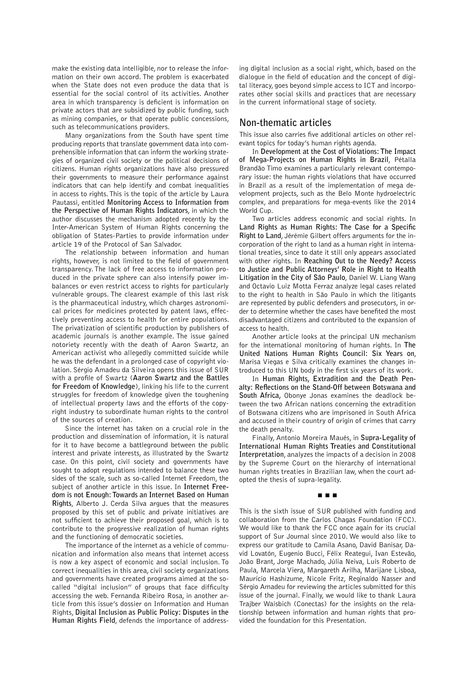make the existing data intelligible, nor to release the information on their own accord. The problem is exacerbated when the State does not even produce the data that is essential for the social control of its activities. Another area in which transparency is deficient is information on private actors that are subsidized by public funding, such as mining companies, or that operate public concessions, such as telecommunications providers.

Many organizations from the South have spent time producing reports that translate government data into comprehensible information that can inform the working strategies of organized civil society or the political decisions of citizens. Human rights organizations have also pressured their governments to measure their performance against indicators that can help identify and combat inequalities in access to rights. This is the topic of the article by Laura Pautassi, entitled **Monitoring Access to Information from the Perspective of Human Rights Indicators**, in which the author discusses the mechanism adopted recently by the Inter-American System of Human Rights concerning the obligation of States-Parties to provide information under article 19 of the Protocol of San Salvador.

The relationship between information and human rights, however, is not limited to the field of government transparency. The lack of free access to information produced in the private sphere can also intensify power imbalances or even restrict access to rights for particularly vulnerable groups. The clearest example of this last risk is the pharmaceutical industry, which charges astronomical prices for medicines protected by patent laws, effectively preventing access to health for entire populations. The privatization of scientific production by publishers of academic journals is another example. The issue gained notoriety recently with the death of Aaron Swartz, an American activist who allegedly committed suicide while he was the defendant in a prolonged case of copyright violation. Sérgio Amadeu da Silveira opens this issue of SUR with a profile of Swartz (Aaron Swartz and the Battles **for Freedom of Knowledge**), linking his life to the current struggles for freedom of knowledge given the toughening of intellectual property laws and the efforts of the copyright industry to subordinate human rights to the control of the sources of creation.

Since the internet has taken on a crucial role in the production and dissemination of information, it is natural for it to have become a battleground between the public interest and private interests, as illustrated by the Swartz case. On this point, civil society and governments have sought to adopt regulations intended to balance these two sides of the scale, such as so-called Internet Freedom, the subject of another article in this issue. In **Internet Freedom is not Enough: Towards an Internet Based on Human Rights**, Alberto J. Cerda Silva argues that the measures proposed by this set of public and private initiatives are not sufficient to achieve their proposed goal, which is to contribute to the progressive realization of human rights and the functioning of democratic societies.

The importance of the internet as a vehicle of communication and information also means that internet access is now a key aspect of economic and social inclusion. To correct inequalities in this area, civil society organizations and governments have created programs aimed at the socalled "digital inclusion" of groups that face difficulty accessing the web. Fernanda Ribeiro Rosa, in another article from this issue's dossier on Information and Human Rights, **Digital Inclusion as Public Policy: Disputes in the Human Rights Field**, defends the importance of address-

ing digital inclusion as a social right, which, based on the dialogue in the field of education and the concept of digital literacy, goes beyond simple access to ICT and incorporates other social skills and practices that are necessary in the current informational stage of society.

## **Non-thematic articles**

This issue also carries five additional articles on other relevant topics for today's human rights agenda.

In **Development at the Cost of Violations: The Impact of Mega-Projects on Human Rights in Brazil**, Pétalla Brandão Timo examines a particularly relevant contemporary issue: the human rights violations that have occurred in Brazil as a result of the implementation of mega development projects, such as the Belo Monte hydroelectric complex, and preparations for mega-events like the 2014 World Cup.

Two articles address economic and social rights. In **Land Rights as Human Rights: The Case for a Specific Right to Land**, Jérémie Gilbert offers arguments for the incorporation of the right to land as a human right in international treaties, since to date it still only appears associated with other rights. In **Reaching Out to the Needy? Access to Justice and Public Attorneys' Role in Right to Health Litigation in the City of São Paulo**, Daniel W. Liang Wang and Octavio Luiz Motta Ferraz analyze legal cases related to the right to health in São Paulo in which the litigants are represented by public defenders and prosecutors, in order to determine whether the cases have benefited the most disadvantaged citizens and contributed to the expansion of access to health.

Another article looks at the principal UN mechanism for the international monitoring of human rights. In **The United Nations Human Rights Council: Six Years on**, Marisa Viegas e Silva critically examines the changes introduced to this UN body in the first six years of its work.

In **Human Rights, Extradition and the Death Pen**alty: Reflections on the Stand-Off between Botswana and **South Africa,** Obonye Jonas examines the deadlock between the two African nations concerning the extradition of Botswana citizens who are imprisoned in South Africa and accused in their country of origin of crimes that carry the death penalty.

Finally, Antonio Moreira Maués, in **Supra-Legality of International Human Rights Treaties and Constitutional Interpretation**, analyzes the impacts of a decision in 2008 by the Supreme Court on the hierarchy of international human rights treaties in Brazilian law, when the court adopted the thesis of supra-legality.

#### ■ ■ ■

This is the sixth issue of SUR published with funding and collaboration from the Carlos Chagas Foundation (FCC). We would like to thank the FCC once again for its crucial support of Sur Journal since 2010. We would also like to express our gratitude to Camila Asano, David Banisar, David Lovatón, Eugenio Bucci, Félix Reategui, Ivan Estevão, João Brant, Jorge Machado, Júlia Neiva, Luís Roberto de Paula, Marcela Viera, Margareth Arilha, Marijane Lisboa, Maurício Hashizume, Nicole Fritz, Reginaldo Nasser and Sérgio Amadeu for reviewing the articles submitted for this issue of the journal. Finally, we would like to thank Laura Trajber Waisbich (Conectas) for the insights on the relationship between information and human rights that provided the foundation for this Presentation.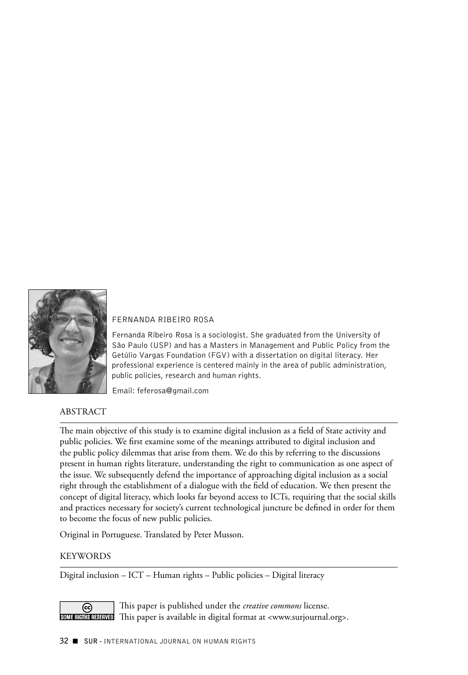

## FERNANDA RIBEIRO ROSA

Fernanda Ribeiro Rosa is a sociologist. She graduated from the University of São Paulo (USP) and has a Masters in Management and Public Policy from the Getúlio Vargas Foundation (FGV) with a dissertation on digital literacy. Her professional experience is centered mainly in the area of public administration, public policies, research and human rights.

Email: feferosa@gmail.com

## ABSTRACT

The main objective of this study is to examine digital inclusion as a field of State activity and public policies. We first examine some of the meanings attributed to digital inclusion and the public policy dilemmas that arise from them. We do this by referring to the discussions present in human rights literature, understanding the right to communication as one aspect of the issue. We subsequently defend the importance of approaching digital inclusion as a social right through the establishment of a dialogue with the field of education. We then present the concept of digital literacy, which looks far beyond access to ICTs, requiring that the social skills and practices necessary for society's current technological juncture be defined in order for them to become the focus of new public policies.

Original in Portuguese. Translated by Peter Musson.

## **KEYWORDS**

Digital inclusion – ICT – Human rights – Public policies – Digital literacy



This paper is published under the *creative commons* license. **ELES ESTAVIDE** This paper is available in digital format at <www.surjournal.org>.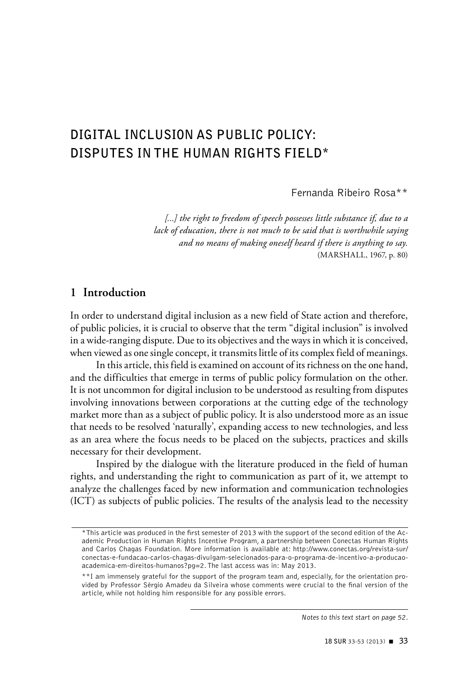# **DIGITAL INCLUSION AS PUBLIC POLICY: DISPUTES IN THE HUMAN RIGHTS FIELD\***

Fernanda Ribeiro Rosa\*\*

[...] the right to freedom of speech possesses little substance if, due to a *lack of education, there is not much to be said that is worthwhile saying and no means of making oneself heard if there is anything to say.*  (MARSHALL, 1967, p. 80)

## **1 Introduction**

In order to understand digital inclusion as a new field of State action and therefore, of public policies, it is crucial to observe that the term "digital inclusion" is involved in a wide-ranging dispute. Due to its objectives and the ways in which it is conceived, when viewed as one single concept, it transmits little of its complex field of meanings.

In this article, this field is examined on account of its richness on the one hand, and the difficulties that emerge in terms of public policy formulation on the other. It is not uncommon for digital inclusion to be understood as resulting from disputes involving innovations between corporations at the cutting edge of the technology market more than as a subject of public policy. It is also understood more as an issue that needs to be resolved 'naturally', expanding access to new technologies, and less as an area where the focus needs to be placed on the subjects, practices and skills necessary for their development.

Inspired by the dialogue with the literature produced in the field of human rights, and understanding the right to communication as part of it, we attempt to analyze the challenges faced by new information and communication technologies (ICT) as subjects of public policies. The results of the analysis lead to the necessity

*Notes to this text start on page 52.*

<sup>\*</sup>This article was produced in the first semester of 2013 with the support of the second edition of the Academic Production in Human Rights Incentive Program, a partnership between Conectas Human Rights and Carlos Chagas Foundation. More information is available at: http://www.conectas.org/revista-sur/ conectas-e-fundacao-carlos-chagas-divulgam-selecionados-para-o-programa-de-incentivo-a-producaoacademica-em-direitos-humanos?pg=2. The last access was in: May 2013.

<sup>\*\*</sup>I am immensely grateful for the support of the program team and, especially, for the orientation provided by Professor Sérgio Amadeu da Silveira whose comments were crucial to the final version of the article, while not holding him responsible for any possible errors.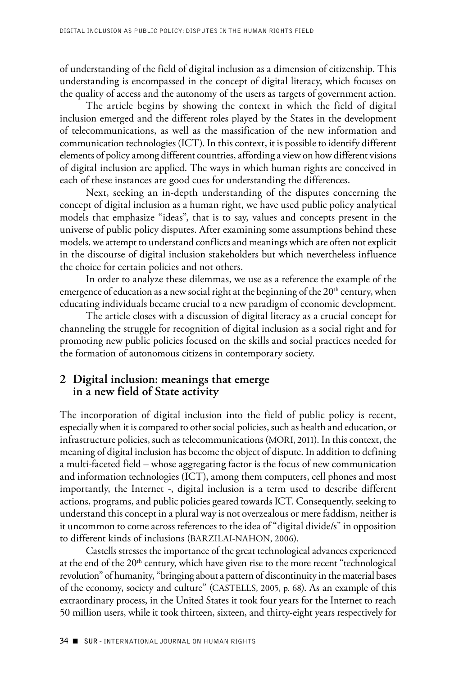of understanding of the field of digital inclusion as a dimension of citizenship. This understanding is encompassed in the concept of digital literacy, which focuses on the quality of access and the autonomy of the users as targets of government action.

The article begins by showing the context in which the field of digital inclusion emerged and the different roles played by the States in the development of telecommunications, as well as the massification of the new information and communication technologies (ICT). In this context, it is possible to identify different elements of policy among different countries, affording a view on how different visions of digital inclusion are applied. The ways in which human rights are conceived in each of these instances are good cues for understanding the differences.

Next, seeking an in-depth understanding of the disputes concerning the concept of digital inclusion as a human right, we have used public policy analytical models that emphasize "ideas", that is to say, values and concepts present in the universe of public policy disputes. After examining some assumptions behind these models, we attempt to understand conflicts and meanings which are often not explicit in the discourse of digital inclusion stakeholders but which nevertheless influence the choice for certain policies and not others.

In order to analyze these dilemmas, we use as a reference the example of the emergence of education as a new social right at the beginning of the  $20<sup>th</sup>$  century, when educating individuals became crucial to a new paradigm of economic development.

The article closes with a discussion of digital literacy as a crucial concept for channeling the struggle for recognition of digital inclusion as a social right and for promoting new public policies focused on the skills and social practices needed for the formation of autonomous citizens in contemporary society.

## **2 Digital inclusion: meanings that emerge in a new field of State activity**

The incorporation of digital inclusion into the field of public policy is recent, especially when it is compared to other social policies, such as health and education, or infrastructure policies, such as telecommunications (MORI, 2011). In this context, the meaning of digital inclusion has become the object of dispute. In addition to defining a multi-faceted field – whose aggregating factor is the focus of new communication and information technologies (ICT), among them computers, cell phones and most importantly, the Internet -, digital inclusion is a term used to describe different actions, programs, and public policies geared towards ICT. Consequently, seeking to understand this concept in a plural way is not overzealous or mere faddism, neither is it uncommon to come across references to the idea of "digital divide/s" in opposition to different kinds of inclusions (BARZILAI-NAHON, 2006).

Castells stresses the importance of the great technological advances experienced at the end of the  $20<sup>th</sup>$  century, which have given rise to the more recent "technological revolution" of humanity, "bringing about a pattern of discontinuity in the material bases of the economy, society and culture" (CASTELLS, 2005, p. 68). As an example of this extraordinary process, in the United States it took four years for the Internet to reach 50 million users, while it took thirteen, sixteen, and thirty-eight years respectively for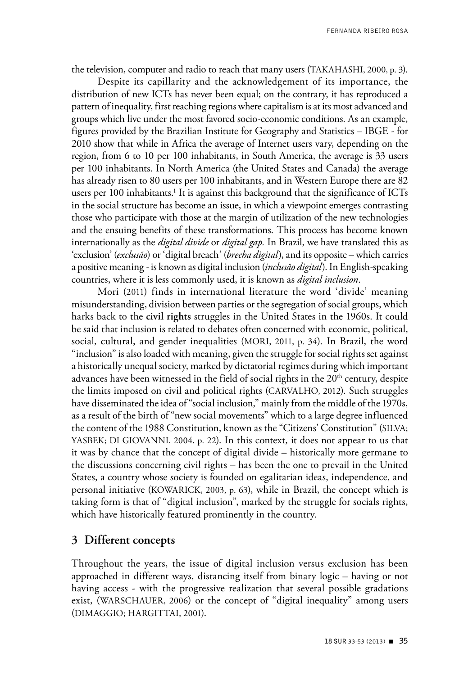the television, computer and radio to reach that many users (TAKAHASHI, 2000, p. 3).

Despite its capillarity and the acknowledgement of its importance, the distribution of new ICTs has never been equal; on the contrary, it has reproduced a pattern of inequality, first reaching regions where capitalism is at its most advanced and groups which live under the most favored socio-economic conditions. As an example, figures provided by the Brazilian Institute for Geography and Statistics – IBGE - for 2010 show that while in Africa the average of Internet users vary, depending on the region, from 6 to 10 per 100 inhabitants, in South America, the average is 33 users per 100 inhabitants. In North America (the United States and Canada) the average has already risen to 80 users per 100 inhabitants, and in Western Europe there are 82 users per 100 inhabitants.<sup>1</sup> It is against this background that the significance of ICTs in the social structure has become an issue, in which a viewpoint emerges contrasting those who participate with those at the margin of utilization of the new technologies and the ensuing benefits of these transformations. This process has become known internationally as the *digital divide* or *digital gap.* In Brazil, we have translated this as 'exclusion' (*exclusão*) or 'digital breach' (*brecha digital*), and its opposite – which carries a positive meaning - is known as digital inclusion (*inclusão digital*). In English-speaking countries, where it is less commonly used, it is known as *digital inclusion*.

Mori (2011) finds in international literature the word 'divide' meaning misunderstanding, division between parties or the segregation of social groups, which harks back to the **civil rights** struggles in the United States in the 1960s. It could be said that inclusion is related to debates often concerned with economic, political, social, cultural, and gender inequalities (MORI, 2011, p. 34). In Brazil, the word "inclusion" is also loaded with meaning, given the struggle for social rights set against a historically unequal society, marked by dictatorial regimes during which important advances have been witnessed in the field of social rights in the  $20<sup>th</sup>$  century, despite the limits imposed on civil and political rights (CARVALHO, 2012). Such struggles have disseminated the idea of "social inclusion," mainly from the middle of the 1970s, as a result of the birth of "new social movements" which to a large degree influenced the content of the 1988 Constitution, known as the "Citizens' Constitution" (SILVA; YASBEK; DI GIOVANNI, 2004, p. 22). In this context, it does not appear to us that it was by chance that the concept of digital divide – historically more germane to the discussions concerning civil rights – has been the one to prevail in the United States, a country whose society is founded on egalitarian ideas, independence, and personal initiative (KOWARICK, 2003, p. 63), while in Brazil, the concept which is taking form is that of "digital inclusion", marked by the struggle for socials rights, which have historically featured prominently in the country.

## **3 Different concepts**

Throughout the years, the issue of digital inclusion versus exclusion has been approached in different ways, distancing itself from binary logic – having or not having access - with the progressive realization that several possible gradations exist, (WARSCHAUER, 2006) or the concept of "digital inequality" among users (DIMAGGIO; HARGITTAI, 2001).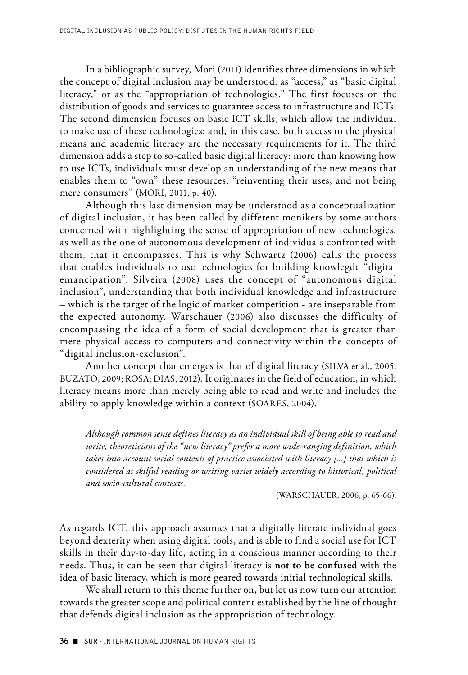In a bibliographic survey, Mori (2011) identifies three dimensions in which the concept of digital inclusion may be understood: as "access," as "basic digital literacy," or as the "appropriation of technologies." The first focuses on the distribution of goods and services to guarantee access to infrastructure and ICTs. The second dimension focuses on basic ICT skills, which allow the individual to make use of these technologies; and, in this case, both access to the physical means and academic literacy are the necessary requirements for it. The third dimension adds a step to so-called basic digital literacy: more than knowing how to use ICTs, individuals must develop an understanding of the new means that enables them to "own" these resources, "reinventing their uses, and not being mere consumers" (MORI, 2011, p. 40).

Although this last dimension may be understood as a conceptualization of digital inclusion, it has been called by different monikers by some authors concerned with highlighting the sense of appropriation of new technologies, as well as the one of autonomous development of individuals confronted with them, that it encompasses. This is why Schwartz (2006) calls the process that enables individuals to use technologies for building knowlegde "digital emancipation". Silveira (2008) uses the concept of "autonomous digital inclusion", understanding that both individual knowledge and infrastructure – which is the target of the logic of market competition - are inseparable from the expected autonomy. Warschauer (2006) also discusses the difficulty of encompassing the idea of a form of social development that is greater than mere physical access to computers and connectivity within the concepts of "digital inclusion-exclusion".

Another concept that emerges is that of digital literacy (SILVA et al., 2005; BUZATO, 2009; ROSA; DIAS, 2012). It originates in the field of education, in which literacy means more than merely being able to read and write and includes the ability to apply knowledge within a context (SOARES, 2004).

*Although common sense defines literacy as an individual skill of being able to read and write, theoreticians of the "new literacy" prefer a more wide-ranging definition, which takes into account social contexts of practice associated with literacy [...] that which is considered as skilful reading or writing varies widely according to historical, political and socio-cultural contexts.* 

(WARSCHAUER, 2006, p. 65-66).

As regards ICT, this approach assumes that a digitally literate individual goes beyond dexterity when using digital tools, and is able to find a social use for ICT skills in their day-to-day life, acting in a conscious manner according to their needs. Thus, it can be seen that digital literacy is **not to be confused** with the idea of basic literacy, which is more geared towards initial technological skills.

We shall return to this theme further on, but let us now turn our attention towards the greater scope and political content established by the line of thought that defends digital inclusion as the appropriation of technology.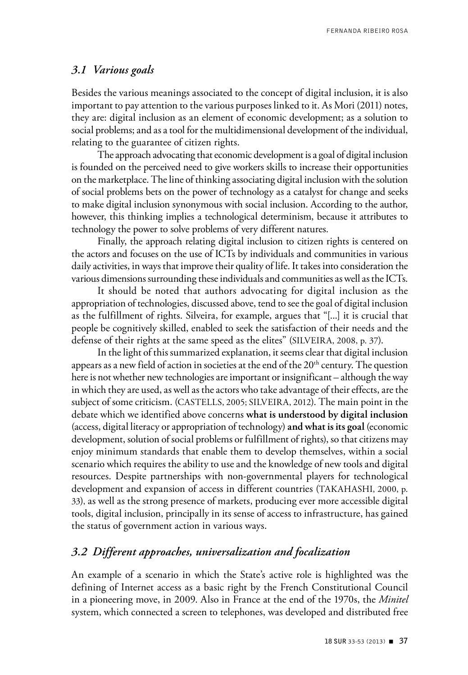## *3.1 Various goals*

Besides the various meanings associated to the concept of digital inclusion, it is also important to pay attention to the various purposes linked to it. As Mori (2011) notes, they are: digital inclusion as an element of economic development; as a solution to social problems; and as a tool for the multidimensional development of the individual, relating to the guarantee of citizen rights.

The approach advocating that economic development is a goal of digital inclusion is founded on the perceived need to give workers skills to increase their opportunities on the marketplace. The line of thinking associating digital inclusion with the solution of social problems bets on the power of technology as a catalyst for change and seeks to make digital inclusion synonymous with social inclusion. According to the author, however, this thinking implies a technological determinism, because it attributes to technology the power to solve problems of very different natures.

Finally, the approach relating digital inclusion to citizen rights is centered on the actors and focuses on the use of ICTs by individuals and communities in various daily activities, in ways that improve their quality of life. It takes into consideration the various dimensions surrounding these individuals and communities as well as the ICTs.

It should be noted that authors advocating for digital inclusion as the appropriation of technologies, discussed above, tend to see the goal of digital inclusion as the fulfillment of rights. Silveira, for example, argues that "[...] it is crucial that people be cognitively skilled, enabled to seek the satisfaction of their needs and the defense of their rights at the same speed as the elites" (SILVEIRA, 2008, p. 37).

In the light of this summarized explanation, it seems clear that digital inclusion appears as a new field of action in societies at the end of the  $20<sup>th</sup>$  century. The question here is not whether new technologies are important or insignificant – although the way in which they are used, as well as the actors who take advantage of their effects, are the subject of some criticism. (CASTELLS, 2005; SILVEIRA, 2012). The main point in the debate which we identified above concerns **what is understood by digital inclusion** (access, digital literacy or appropriation of technology) **and what is its goal** (economic development, solution of social problems or fulfillment of rights), so that citizens may enjoy minimum standards that enable them to develop themselves, within a social scenario which requires the ability to use and the knowledge of new tools and digital resources. Despite partnerships with non-governmental players for technological development and expansion of access in different countries (TAKAHASHI, 2000, p. 33), as well as the strong presence of markets, producing ever more accessible digital tools, digital inclusion, principally in its sense of access to infrastructure, has gained the status of government action in various ways.

## *3.2 Different approaches, universalization and focalization*

An example of a scenario in which the State's active role is highlighted was the defining of Internet access as a basic right by the French Constitutional Council in a pioneering move, in 2009. Also in France at the end of the 1970s, the *Minitel* system, which connected a screen to telephones, was developed and distributed free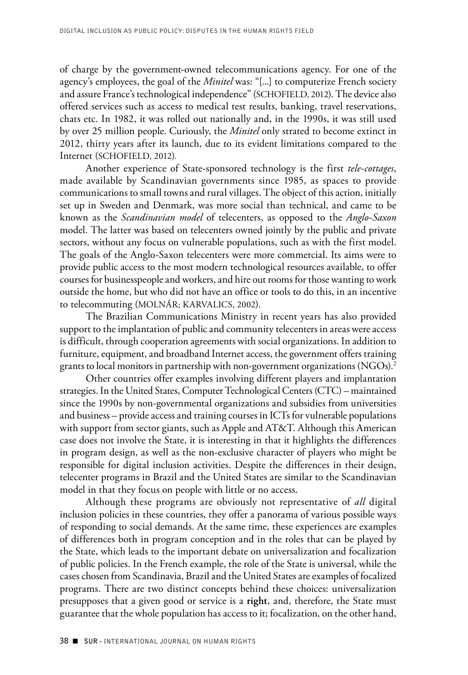of charge by the government-owned telecommunications agency. For one of the agency's employees, the goal of the *Minitel* was: "[...] to computerize French society and assure France's technological independence" (SCHOFIELD, 2012). The device also offered services such as access to medical test results, banking, travel reservations, chats etc. In 1982, it was rolled out nationally and, in the 1990s, it was still used by over 25 million people. Curiously, the *Minitel* only strated to become extinct in 2012, thirty years after its launch, due to its evident limitations compared to the Internet (SCHOFIELD, 2012).

Another experience of State-sponsored technology is the first *tele-cottages*, made available by Scandinavian governments since 1985, as spaces to provide communications to small towns and rural villages. The object of this action, initially set up in Sweden and Denmark, was more social than technical, and came to be known as the *Scandinavian model* of telecenters, as opposed to the *Anglo-Saxon* model. The latter was based on telecenters owned jointly by the public and private sectors, without any focus on vulnerable populations, such as with the first model. The goals of the Anglo-Saxon telecenters were more commercial. Its aims were to provide public access to the most modern technological resources available, to offer courses for businesspeople and workers, and hire out rooms for those wanting to work outside the home, but who did not have an office or tools to do this, in an incentive to telecommuting (MOLNÁR; KARVALICS, 2002).

The Brazilian Communications Ministry in recent years has also provided support to the implantation of public and community telecenters in areas were access is difficult, through cooperation agreements with social organizations. In addition to furniture, equipment, and broadband Internet access, the government offers training grants to local monitors in partnership with non-government organizations (NGOs).2

Other countries offer examples involving different players and implantation strategies. In the United States, Computer Technological Centers (CTC) – maintained since the 1990s by non-governmental organizations and subsidies from universities and business – provide access and training courses in ICTs for vulnerable populations with support from sector giants, such as Apple and AT&T. Although this American case does not involve the State, it is interesting in that it highlights the differences in program design, as well as the non-exclusive character of players who might be responsible for digital inclusion activities. Despite the differences in their design, telecenter programs in Brazil and the United States are similar to the Scandinavian model in that they focus on people with little or no access.

Although these programs are obviously not representative of *all* digital inclusion policies in these countries, they offer a panorama of various possible ways of responding to social demands. At the same time, these experiences are examples of differences both in program conception and in the roles that can be played by the State, which leads to the important debate on universalization and focalization of public policies. In the French example, the role of the State is universal, while the cases chosen from Scandinavia, Brazil and the United States are examples of focalized programs. There are two distinct concepts behind these choices: universalization presupposes that a given good or service is a **right**, and, therefore, the State must guarantee that the whole population has access to it; focalization, on the other hand,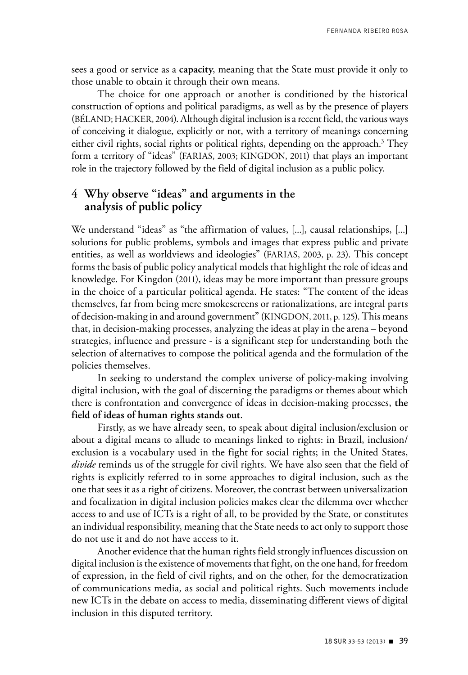sees a good or service as a **capacity**, meaning that the State must provide it only to those unable to obtain it through their own means.

The choice for one approach or another is conditioned by the historical construction of options and political paradigms, as well as by the presence of players (BÉLAND; HACKER, 2004). Although digital inclusion is a recent field, the various ways of conceiving it dialogue, explicitly or not, with a territory of meanings concerning either civil rights, social rights or political rights, depending on the approach.<sup>3</sup> They form a territory of "ideas" (FARIAS, 2003; KINGDON, 2011) that plays an important role in the trajectory followed by the field of digital inclusion as a public policy.

## **4 Why observe "ideas" and arguments in the analysis of public policy**

We understand "ideas" as "the affirmation of values, [...], causal relationships, [...] solutions for public problems, symbols and images that express public and private entities, as well as worldviews and ideologies" (FARIAS, 2003, p. 23). This concept forms the basis of public policy analytical models that highlight the role of ideas and knowledge. For Kingdon (2011), ideas may be more important than pressure groups in the choice of a particular political agenda. He states: "The content of the ideas themselves, far from being mere smokescreens or rationalizations, are integral parts of decision-making in and around government" (KINGDON, 2011, p. 125). This means that, in decision-making processes, analyzing the ideas at play in the arena – beyond strategies, influence and pressure - is a significant step for understanding both the selection of alternatives to compose the political agenda and the formulation of the policies themselves.

In seeking to understand the complex universe of policy-making involving digital inclusion, with the goal of discerning the paradigms or themes about which there is confrontation and convergence of ideas in decision-making processes, **the field of ideas of human rights stands out**.

Firstly, as we have already seen, to speak about digital inclusion/exclusion or about a digital means to allude to meanings linked to rights: in Brazil, inclusion/ exclusion is a vocabulary used in the fight for social rights; in the United States, *divide* reminds us of the struggle for civil rights. We have also seen that the field of rights is explicitly referred to in some approaches to digital inclusion, such as the one that sees it as a right of citizens. Moreover, the contrast between universalization and focalization in digital inclusion policies makes clear the dilemma over whether access to and use of ICTs is a right of all, to be provided by the State, or constitutes an individual responsibility, meaning that the State needs to act only to support those do not use it and do not have access to it.

Another evidence that the human rights field strongly influences discussion on digital inclusion is the existence of movements that fight, on the one hand, for freedom of expression, in the field of civil rights, and on the other, for the democratization of communications media, as social and political rights. Such movements include new ICTs in the debate on access to media, disseminating different views of digital inclusion in this disputed territory.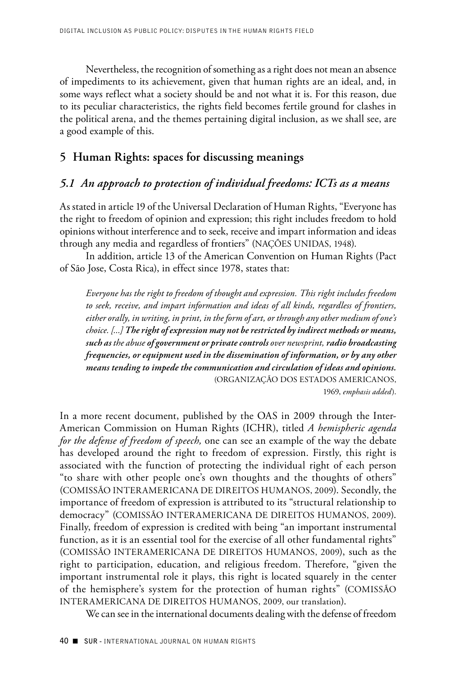Nevertheless, the recognition of something as a right does not mean an absence of impediments to its achievement, given that human rights are an ideal, and, in some ways reflect what a society should be and not what it is. For this reason, due to its peculiar characteristics, the rights field becomes fertile ground for clashes in the political arena, and the themes pertaining digital inclusion, as we shall see, are a good example of this.

## **5 Human Rights: spaces for discussing meanings**

## *5.1 An approach to protection of individual freedoms: ICTs as a means*

As stated in article 19 of the Universal Declaration of Human Rights, "Everyone has the right to freedom of opinion and expression; this right includes freedom to hold opinions without interference and to seek, receive and impart information and ideas through any media and regardless of frontiers" (NAÇÕES UNIDAS, 1948).

In addition, article 13 of the American Convention on Human Rights (Pact of São Jose, Costa Rica), in effect since 1978, states that:

*Everyone has the right to freedom of thought and expression. This right includes freedom to seek, receive, and impart information and ideas of all kinds, regardless of frontiers, either orally, in writing, in print, in the form of art, or through any other medium of one's choice. [...] The right of expression may not be restricted by indirect methods or means, such as the abuse of government or private controls over newsprint, radio broadcasting frequencies, or equipment used in the dissemination of information, or by any other means tending to impede the communication and circulation of ideas and opinions.* (ORGANIZAÇÃO DOS ESTADOS AMERICANOS, 1969, *emphasis added*).

In a more recent document, published by the OAS in 2009 through the Inter-American Commission on Human Rights (ICHR), titled *A hemispheric agenda for the defense of freedom of speech,* one can see an example of the way the debate has developed around the right to freedom of expression. Firstly, this right is associated with the function of protecting the individual right of each person "to share with other people one's own thoughts and the thoughts of others" (COMISSÃO INTERAMERICANA DE DIREITOS HUMANOS, 2009). Secondly, the importance of freedom of expression is attributed to its "structural relationship to democracy" (COMISSÃO INTERAMERICANA DE DIREITOS HUMANOS, 2009). Finally, freedom of expression is credited with being "an important instrumental function, as it is an essential tool for the exercise of all other fundamental rights" (COMISSÃO INTERAMERICANA DE DIREITOS HUMANOS, 2009), such as the right to participation, education, and religious freedom. Therefore, "given the important instrumental role it plays, this right is located squarely in the center of the hemisphere's system for the protection of human rights" (COMISSÃO INTERAMERICANA DE DIREITOS HUMANOS, 2009, our translation).

We can see in the international documents dealing with the defense of freedom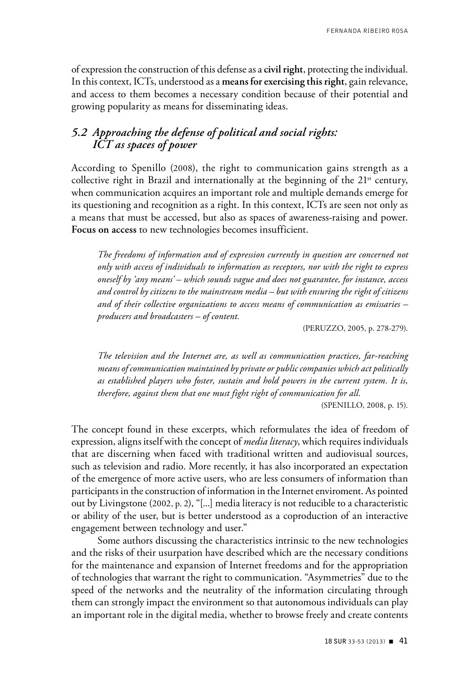of expression the construction of this defense as a **civil right**, protecting the individual. In this context, ICTs, understood as a **means for exercising this right**, gain relevance, and access to them becomes a necessary condition because of their potential and growing popularity as means for disseminating ideas.

## *5.2 Approaching the defense of political and social rights: ICT as spaces of power*

According to Spenillo (2008), the right to communication gains strength as a collective right in Brazil and internationally at the beginning of the  $21^{st}$  century, when communication acquires an important role and multiple demands emerge for its questioning and recognition as a right. In this context, ICTs are seen not only as a means that must be accessed, but also as spaces of awareness-raising and power. **Focus on access** to new technologies becomes insufficient.

*The freedoms of information and of expression currently in question are concerned not only with access of individuals to information as receptors, nor with the right to express oneself by 'any means' – which sounds vague and does not guarantee, for instance, access and control by citizens to the mainstream media – but with ensuring the right of citizens and of their collective organizations to access means of communication as emissaries – producers and broadcasters – of content.* 

(PERUZZO, 2005, p. 278-279).

*The television and the Internet are, as well as communication practices, far-reaching means of communication maintained by private or public companies which act politically as established players who foster, sustain and hold powers in the current system. It is, therefore, against them that one must fight right of communication for all.* 

(SPENILLO, 2008, p. 15).

The concept found in these excerpts, which reformulates the idea of freedom of expression, aligns itself with the concept of *media literacy*, which requires individuals that are discerning when faced with traditional written and audiovisual sources, such as television and radio. More recently, it has also incorporated an expectation of the emergence of more active users, who are less consumers of information than participants in the construction of information in the Internet enviroment. As pointed out by Livingstone (2002, p. 2), "[...] media literacy is not reducible to a characteristic or ability of the user, but is better understood as a coproduction of an interactive engagement between technology and user."

Some authors discussing the characteristics intrinsic to the new technologies and the risks of their usurpation have described which are the necessary conditions for the maintenance and expansion of Internet freedoms and for the appropriation of technologies that warrant the right to communication. "Asymmetries" due to the speed of the networks and the neutrality of the information circulating through them can strongly impact the environment so that autonomous individuals can play an important role in the digital media, whether to browse freely and create contents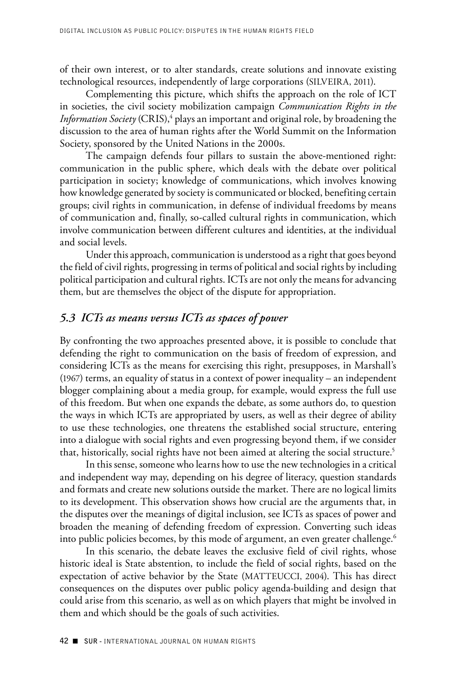of their own interest, or to alter standards, create solutions and innovate existing technological resources, independently of large corporations (SILVEIRA, 2011).

Complementing this picture, which shifts the approach on the role of ICT in societies, the civil society mobilization campaign *Communication Rights in the*  Information Society (CRIS),<sup>4</sup> plays an important and original role, by broadening the discussion to the area of human rights after the World Summit on the Information Society, sponsored by the United Nations in the 2000s.

The campaign defends four pillars to sustain the above-mentioned right: communication in the public sphere, which deals with the debate over political participation in society; knowledge of communications, which involves knowing how knowledge generated by society is communicated or blocked, benefiting certain groups; civil rights in communication, in defense of individual freedoms by means of communication and, finally, so-called cultural rights in communication, which involve communication between different cultures and identities, at the individual and social levels.

Under this approach, communication is understood as a right that goes beyond the field of civil rights, progressing in terms of political and social rights by including political participation and cultural rights. ICTs are not only the means for advancing them, but are themselves the object of the dispute for appropriation.

## *5.3 ICTs as means versus ICTs as spaces of power*

By confronting the two approaches presented above, it is possible to conclude that defending the right to communication on the basis of freedom of expression, and considering ICTs as the means for exercising this right, presupposes, in Marshall's (1967) terms, an equality of status in a context of power inequality – an independent blogger complaining about a media group, for example, would express the full use of this freedom. But when one expands the debate, as some authors do, to question the ways in which ICTs are appropriated by users, as well as their degree of ability to use these technologies, one threatens the established social structure, entering into a dialogue with social rights and even progressing beyond them, if we consider that, historically, social rights have not been aimed at altering the social structure.<sup>5</sup>

In this sense, someone who learns how to use the new technologies in a critical and independent way may, depending on his degree of literacy, question standards and formats and create new solutions outside the market. There are no logical limits to its development. This observation shows how crucial are the arguments that, in the disputes over the meanings of digital inclusion, see ICTs as spaces of power and broaden the meaning of defending freedom of expression. Converting such ideas into public policies becomes, by this mode of argument, an even greater challenge.<sup>6</sup>

In this scenario, the debate leaves the exclusive field of civil rights, whose historic ideal is State abstention, to include the field of social rights, based on the expectation of active behavior by the State (MATTEUCCI, 2004). This has direct consequences on the disputes over public policy agenda-building and design that could arise from this scenario, as well as on which players that might be involved in them and which should be the goals of such activities.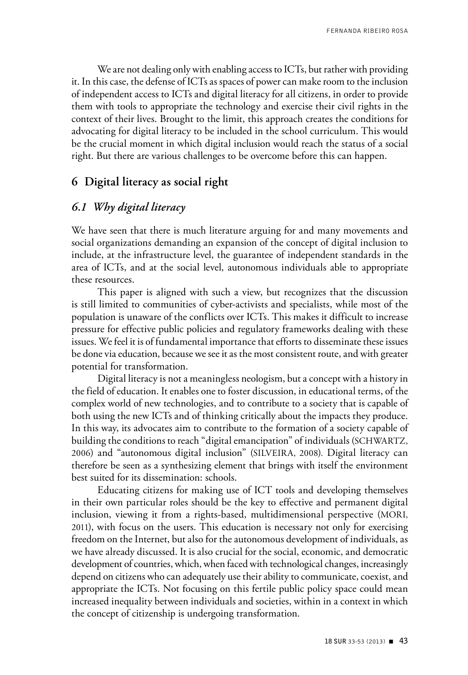We are not dealing only with enabling access to ICTs, but rather with providing it. In this case, the defense of ICTs as spaces of power can make room to the inclusion of independent access to ICTs and digital literacy for all citizens, in order to provide them with tools to appropriate the technology and exercise their civil rights in the context of their lives. Brought to the limit, this approach creates the conditions for advocating for digital literacy to be included in the school curriculum. This would be the crucial moment in which digital inclusion would reach the status of a social right. But there are various challenges to be overcome before this can happen.

## **6 Digital literacy as social right**

## *6.1 Why digital literacy*

We have seen that there is much literature arguing for and many movements and social organizations demanding an expansion of the concept of digital inclusion to include, at the infrastructure level, the guarantee of independent standards in the area of ICTs, and at the social level, autonomous individuals able to appropriate these resources.

This paper is aligned with such a view, but recognizes that the discussion is still limited to communities of cyber-activists and specialists, while most of the population is unaware of the conflicts over ICTs. This makes it difficult to increase pressure for effective public policies and regulatory frameworks dealing with these issues. We feel it is of fundamental importance that efforts to disseminate these issues be done via education, because we see it as the most consistent route, and with greater potential for transformation.

Digital literacy is not a meaningless neologism, but a concept with a history in the field of education. It enables one to foster discussion, in educational terms, of the complex world of new technologies, and to contribute to a society that is capable of both using the new ICTs and of thinking critically about the impacts they produce. In this way, its advocates aim to contribute to the formation of a society capable of building the conditions to reach "digital emancipation" of individuals (SCHWARTZ, 2006) and "autonomous digital inclusion" (SILVEIRA, 2008). Digital literacy can therefore be seen as a synthesizing element that brings with itself the environment best suited for its dissemination: schools.

Educating citizens for making use of ICT tools and developing themselves in their own particular roles should be the key to effective and permanent digital inclusion, viewing it from a rights-based, multidimensional perspective (MORI, 2011), with focus on the users. This education is necessary not only for exercising freedom on the Internet, but also for the autonomous development of individuals, as we have already discussed. It is also crucial for the social, economic, and democratic development of countries, which, when faced with technological changes, increasingly depend on citizens who can adequately use their ability to communicate, coexist, and appropriate the ICTs. Not focusing on this fertile public policy space could mean increased inequality between individuals and societies, within in a context in which the concept of citizenship is undergoing transformation.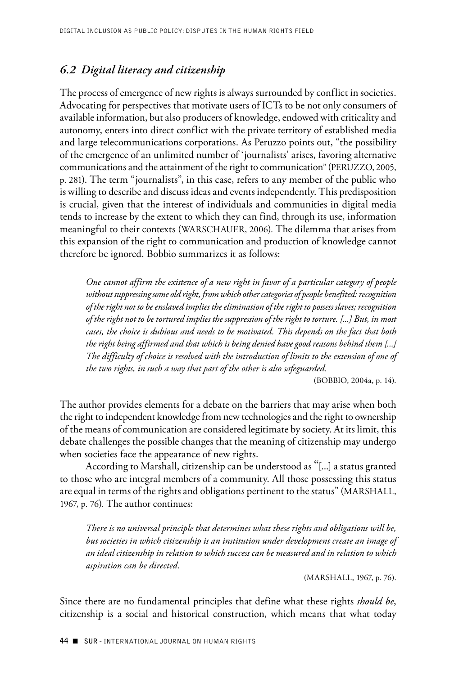## *6.2 Digital literacy and citizenship*

The process of emergence of new rights is always surrounded by conflict in societies. Advocating for perspectives that motivate users of ICTs to be not only consumers of available information, but also producers of knowledge, endowed with criticality and autonomy, enters into direct conflict with the private territory of established media and large telecommunications corporations. As Peruzzo points out, "the possibility of the emergence of an unlimited number of 'journalists' arises, favoring alternative communications and the attainment of the right to communication" (PERUZZO, 2005, p. 281). The term "journalists", in this case, refers to any member of the public who is willing to describe and discuss ideas and events independently. This predisposition is crucial, given that the interest of individuals and communities in digital media tends to increase by the extent to which they can find, through its use, information meaningful to their contexts (WARSCHAUER, 2006). The dilemma that arises from this expansion of the right to communication and production of knowledge cannot therefore be ignored. Bobbio summarizes it as follows:

*One cannot affirm the existence of a new right in favor of a particular category of people without suppressing some old right, from which other categories of people benefited: recognition of the right not to be enslaved implies the elimination of the right to possess slaves; recognition of the right not to be tortured implies the suppression of the right to torture. [...] But, in most cases, the choice is dubious and needs to be motivated. This depends on the fact that both the right being affirmed and that which is being denied have good reasons behind them [...] The difficulty of choice is resolved with the introduction of limits to the extension of one of the two rights, in such a way that part of the other is also safeguarded.* 

(BOBBIO, 2004a, p. 14).

The author provides elements for a debate on the barriers that may arise when both the right to independent knowledge from new technologies and the right to ownership of the means of communication are considered legitimate by society. At its limit, this debate challenges the possible changes that the meaning of citizenship may undergo when societies face the appearance of new rights.

According to Marshall, citizenship can be understood as "[...] a status granted to those who are integral members of a community. All those possessing this status are equal in terms of the rights and obligations pertinent to the status" (MARSHALL, 1967, p. 76). The author continues:

*There is no universal principle that determines what these rights and obligations will be, but societies in which citizenship is an institution under development create an image of an ideal citizenship in relation to which success can be measured and in relation to which aspiration can be directed.* 

(MARSHALL, 1967, p. 76).

Since there are no fundamental principles that define what these rights *should be*, citizenship is a social and historical construction, which means that what today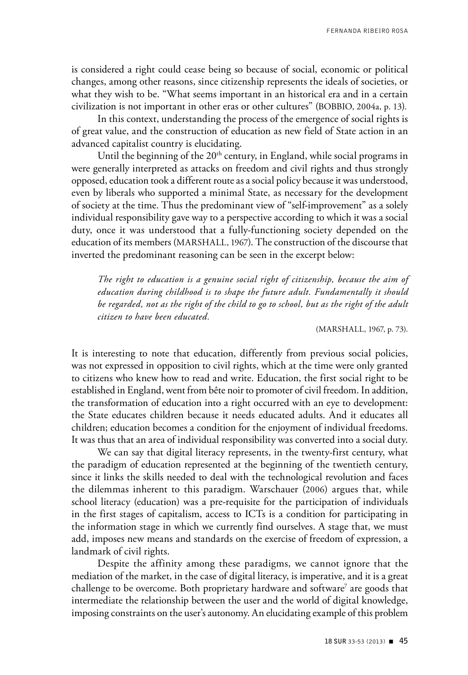is considered a right could cease being so because of social, economic or political changes, among other reasons, since citizenship represents the ideals of societies, or what they wish to be. "What seems important in an historical era and in a certain civilization is not important in other eras or other cultures" (BOBBIO, 2004a, p. 13).

In this context, understanding the process of the emergence of social rights is of great value, and the construction of education as new field of State action in an advanced capitalist country is elucidating.

Until the beginning of the 20<sup>th</sup> century, in England, while social programs in were generally interpreted as attacks on freedom and civil rights and thus strongly opposed, education took a different route as a social policy because it was understood, even by liberals who supported a minimal State, as necessary for the development of society at the time. Thus the predominant view of "self-improvement" as a solely individual responsibility gave way to a perspective according to which it was a social duty, once it was understood that a fully-functioning society depended on the education of its members (MARSHALL, 1967). The construction of the discourse that inverted the predominant reasoning can be seen in the excerpt below:

*The right to education is a genuine social right of citizenship, because the aim of education during childhood is to shape the future adult. Fundamentally it should be regarded, not as the right of the child to go to school, but as the right of the adult citizen to have been educated.*

(MARSHALL, 1967, p. 73).

It is interesting to note that education, differently from previous social policies, was not expressed in opposition to civil rights, which at the time were only granted to citizens who knew how to read and write. Education, the first social right to be established in England, went from bête noir to promoter of civil freedom. In addition, the transformation of education into a right occurred with an eye to development: the State educates children because it needs educated adults. And it educates all children; education becomes a condition for the enjoyment of individual freedoms. It was thus that an area of individual responsibility was converted into a social duty.

We can say that digital literacy represents, in the twenty-first century, what the paradigm of education represented at the beginning of the twentieth century, since it links the skills needed to deal with the technological revolution and faces the dilemmas inherent to this paradigm. Warschauer (2006) argues that, while school literacy (education) was a pre-requisite for the participation of individuals in the first stages of capitalism, access to ICTs is a condition for participating in the information stage in which we currently find ourselves. A stage that, we must add, imposes new means and standards on the exercise of freedom of expression, a landmark of civil rights.

Despite the affinity among these paradigms, we cannot ignore that the mediation of the market, in the case of digital literacy, is imperative, and it is a great challenge to be overcome. Both proprietary hardware and software<sup>7</sup> are goods that intermediate the relationship between the user and the world of digital knowledge, imposing constraints on the user's autonomy. An elucidating example of this problem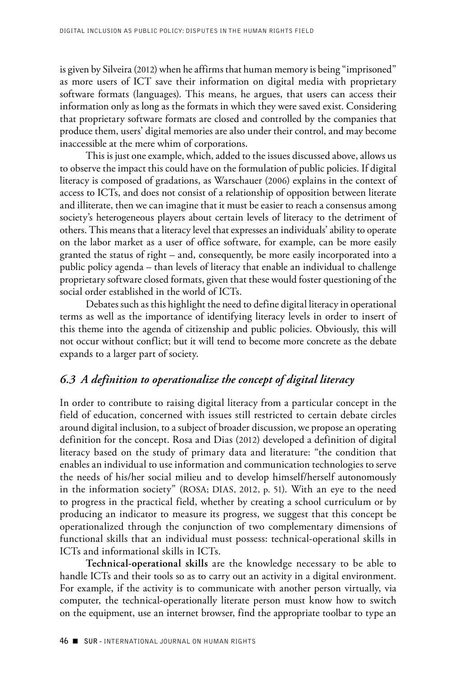is given by Silveira (2012) when he affirms that human memory is being "imprisoned" as more users of ICT save their information on digital media with proprietary software formats (languages). This means, he argues, that users can access their information only as long as the formats in which they were saved exist. Considering that proprietary software formats are closed and controlled by the companies that produce them, users' digital memories are also under their control, and may become inaccessible at the mere whim of corporations.

This is just one example, which, added to the issues discussed above, allows us to observe the impact this could have on the formulation of public policies. If digital literacy is composed of gradations, as Warschauer (2006) explains in the context of access to ICTs, and does not consist of a relationship of opposition between literate and illiterate, then we can imagine that it must be easier to reach a consensus among society's heterogeneous players about certain levels of literacy to the detriment of others. This means that a literacy level that expresses an individuals' ability to operate on the labor market as a user of office software, for example, can be more easily granted the status of right – and, consequently, be more easily incorporated into a public policy agenda – than levels of literacy that enable an individual to challenge proprietary software closed formats, given that these would foster questioning of the social order established in the world of ICTs.

Debates such as this highlight the need to define digital literacy in operational terms as well as the importance of identifying literacy levels in order to insert of this theme into the agenda of citizenship and public policies. Obviously, this will not occur without conflict; but it will tend to become more concrete as the debate expands to a larger part of society.

## *6.3 A definition to operationalize the concept of digital literacy*

In order to contribute to raising digital literacy from a particular concept in the field of education, concerned with issues still restricted to certain debate circles around digital inclusion, to a subject of broader discussion, we propose an operating definition for the concept. Rosa and Dias (2012) developed a definition of digital literacy based on the study of primary data and literature: "the condition that enables an individual to use information and communication technologies to serve the needs of his/her social milieu and to develop himself/herself autonomously in the information society" (ROSA; DIAS, 2012, p. 51). With an eye to the need to progress in the practical field, whether by creating a school curriculum or by producing an indicator to measure its progress, we suggest that this concept be operationalized through the conjunction of two complementary dimensions of functional skills that an individual must possess: technical-operational skills in ICTs and informational skills in ICTs.

**Technical-operational skills** are the knowledge necessary to be able to handle ICTs and their tools so as to carry out an activity in a digital environment. For example, if the activity is to communicate with another person virtually, via computer, the technical-operationally literate person must know how to switch on the equipment, use an internet browser, find the appropriate toolbar to type an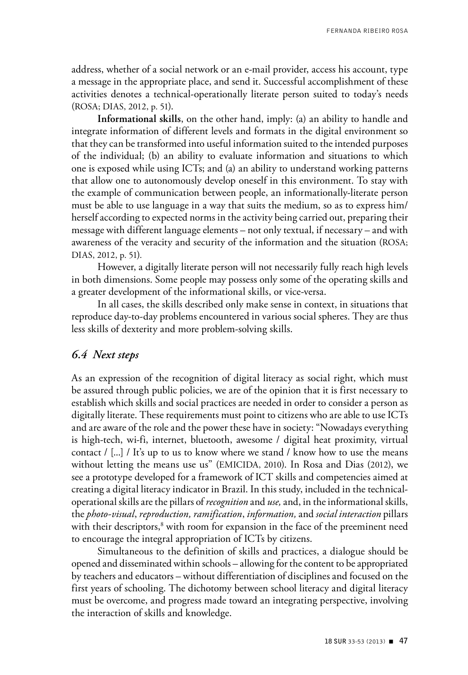address, whether of a social network or an e-mail provider, access his account, type a message in the appropriate place, and send it. Successful accomplishment of these activities denotes a technical-operationally literate person suited to today's needs (ROSA; DIAS, 2012, p. 51).

**Informational skills**, on the other hand, imply: (a) an ability to handle and integrate information of different levels and formats in the digital environment so that they can be transformed into useful information suited to the intended purposes of the individual; (b) an ability to evaluate information and situations to which one is exposed while using ICTs; and (a) an ability to understand working patterns that allow one to autonomously develop oneself in this environment. To stay with the example of communication between people, an informationally-literate person must be able to use language in a way that suits the medium, so as to express him/ herself according to expected norms in the activity being carried out, preparing their message with different language elements – not only textual, if necessary – and with awareness of the veracity and security of the information and the situation (ROSA; DIAS, 2012, p. 51).

However, a digitally literate person will not necessarily fully reach high levels in both dimensions. Some people may possess only some of the operating skills and a greater development of the informational skills, or vice-versa.

In all cases, the skills described only make sense in context, in situations that reproduce day-to-day problems encountered in various social spheres. They are thus less skills of dexterity and more problem-solving skills.

## *6.4 Next steps*

As an expression of the recognition of digital literacy as social right, which must be assured through public policies, we are of the opinion that it is first necessary to establish which skills and social practices are needed in order to consider a person as digitally literate. These requirements must point to citizens who are able to use ICTs and are aware of the role and the power these have in society: "Nowadays everything is high-tech, wi-fi, internet, bluetooth, awesome / digital heat proximity, virtual contact / [...] / It's up to us to know where we stand / know how to use the means without letting the means use us" (EMICIDA, 2010). In Rosa and Dias (2012), we see a prototype developed for a framework of ICT skills and competencies aimed at creating a digital literacy indicator in Brazil. In this study, included in the technicaloperational skills are the pillars of *recognition* and *use,* and, in the informational skills, the *photo-visual*, *reproduction, ramification*, *information,* and *social interaction* pillars with their descriptors,<sup>8</sup> with room for expansion in the face of the preeminent need to encourage the integral appropriation of ICTs by citizens.

Simultaneous to the definition of skills and practices, a dialogue should be opened and disseminated within schools – allowing for the content to be appropriated by teachers and educators – without differentiation of disciplines and focused on the first years of schooling. The dichotomy between school literacy and digital literacy must be overcome, and progress made toward an integrating perspective, involving the interaction of skills and knowledge.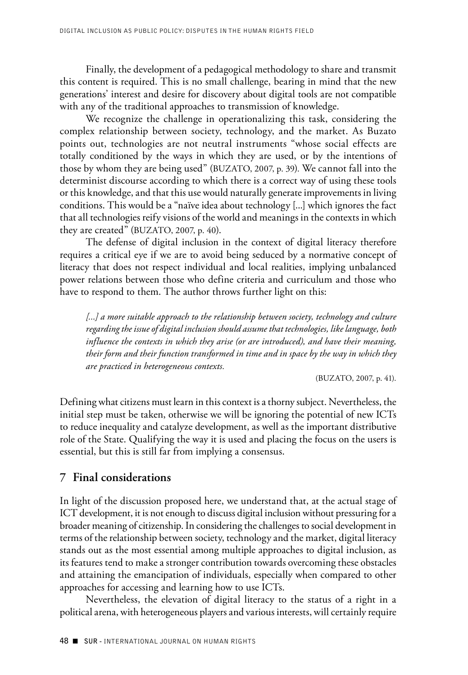Finally, the development of a pedagogical methodology to share and transmit this content is required. This is no small challenge, bearing in mind that the new generations' interest and desire for discovery about digital tools are not compatible with any of the traditional approaches to transmission of knowledge.

We recognize the challenge in operationalizing this task, considering the complex relationship between society, technology, and the market. As Buzato points out, technologies are not neutral instruments "whose social effects are totally conditioned by the ways in which they are used, or by the intentions of those by whom they are being used" (BUZATO, 2007, p. 39). We cannot fall into the determinist discourse according to which there is a correct way of using these tools or this knowledge, and that this use would naturally generate improvements in living conditions. This would be a "naïve idea about technology [...] which ignores the fact that all technologies reify visions of the world and meanings in the contexts in which they are created" (BUZATO, 2007, p. 40).

The defense of digital inclusion in the context of digital literacy therefore requires a critical eye if we are to avoid being seduced by a normative concept of literacy that does not respect individual and local realities, implying unbalanced power relations between those who define criteria and curriculum and those who have to respond to them. The author throws further light on this:

*[...] a more suitable approach to the relationship between society, technology and culture regarding the issue of digital inclusion should assume that technologies, like language, both influence the contexts in which they arise (or are introduced), and have their meaning, their form and their function transformed in time and in space by the way in which they are practiced in heterogeneous contexts.*

(BUZATO, 2007, p. 41).

Defining what citizens must learn in this context is a thorny subject. Nevertheless, the initial step must be taken, otherwise we will be ignoring the potential of new ICTs to reduce inequality and catalyze development, as well as the important distributive role of the State. Qualifying the way it is used and placing the focus on the users is essential, but this is still far from implying a consensus.

## **7 Final considerations**

In light of the discussion proposed here, we understand that, at the actual stage of ICT development, it is not enough to discuss digital inclusion without pressuring for a broader meaning of citizenship. In considering the challenges to social development in terms of the relationship between society, technology and the market, digital literacy stands out as the most essential among multiple approaches to digital inclusion, as its features tend to make a stronger contribution towards overcoming these obstacles and attaining the emancipation of individuals, especially when compared to other approaches for accessing and learning how to use ICTs.

Nevertheless, the elevation of digital literacy to the status of a right in a political arena, with heterogeneous players and various interests, will certainly require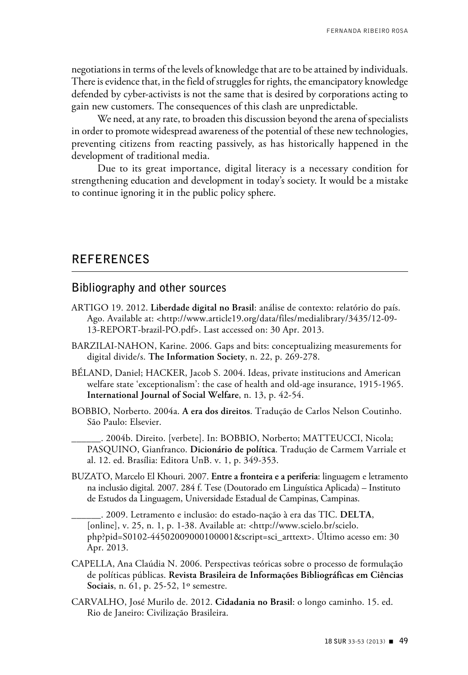negotiations in terms of the levels of knowledge that are to be attained by individuals. There is evidence that, in the field of struggles for rights, the emancipatory knowledge defended by cyber-activists is not the same that is desired by corporations acting to gain new customers. The consequences of this clash are unpredictable.

We need, at any rate, to broaden this discussion beyond the arena of specialists in order to promote widespread awareness of the potential of these new technologies, preventing citizens from reacting passively, as has historically happened in the development of traditional media.

Due to its great importance, digital literacy is a necessary condition for strengthening education and development in today's society. It would be a mistake to continue ignoring it in the public policy sphere.

## **REFERENCES**

## **Bibliography and other sources**

- ARTIGO 19. 2012. **Liberdade digital no Brasil**: análise de contexto: relatório do país. Ago. Available at: <http://www.article19.org/data/files/medialibrary/3435/12-09- 13-REPORT-brazil-PO.pdf>. Last accessed on: 30 Apr. 2013.
- BARZILAI-NAHON, Karine. 2006. Gaps and bits: conceptualizing measurements for digital divide/s. **The Information Society**, n. 22, p. 269-278.
- BÉLAND, Daniel; HACKER, Jacob S. 2004. Ideas, private institucions and American welfare state 'exceptionalism': the case of health and old-age insurance, 1915-1965. **International Journal of Social Welfare**, n. 13, p. 42-54.
- BOBBIO, Norberto. 2004a. **A era dos direitos**. Tradução de Carlos Nelson Coutinho. São Paulo: Elsevier.
	- \_\_\_\_\_\_. 2004b. Direito. [verbete]. In: BOBBIO, Norberto; MATTEUCCI, Nicola; PASQUINO, Gianfranco. **Dicionário de política**. Tradução de Carmem Varriale et al. 12. ed. Brasília: Editora UnB. v. 1, p. 349-353.
- BUZATO, Marcelo El Khouri. 2007. **Entre a fronteira e a periferia**: linguagem e letramento na inclusão digital*.* 2007. 284 f. Tese (Doutorado em Linguística Aplicada) – Instituto de Estudos da Linguagem, Universidade Estadual de Campinas, Campinas.

\_\_\_\_\_\_. 2009. Letramento e inclusão: do estado-nação à era das TIC. **DELTA**, [online], v. 25, n. 1, p. 1-38. Available at: <http://www.scielo.br/scielo. php?pid=S0102-44502009000100001&script=sci\_arttext>. Último acesso em: 30 Apr. 2013.

- CAPELLA, Ana Claúdia N. 2006. Perspectivas teóricas sobre o processo de formulação de políticas públicas. **Revista Brasileira de Informações Bibliográficas em Ciências Sociais**, n. 61, p. 25-52, 1º semestre.
- CARVALHO, José Murilo de. 2012. **Cidadania no Brasil**: o longo caminho. 15. ed. Rio de Janeiro: Civilização Brasileira.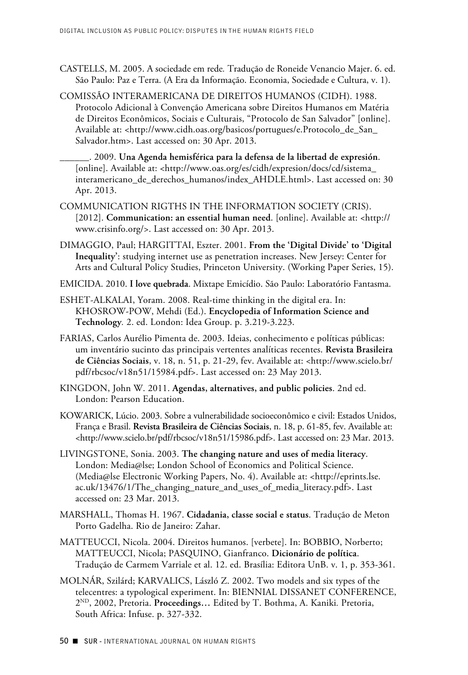- CASTELLS, M. 2005. A sociedade em rede*.* Tradução de Roneide Venancio Majer. 6. ed. São Paulo: Paz e Terra. (A Era da Informação. Economia, Sociedade e Cultura, v. 1).
- COMISSÃO INTERAMERICANA DE DIREITOS HUMANOS (CIDH). 1988. Protocolo Adicional à Convenção Americana sobre Direitos Humanos em Matéria de Direitos Econômicos, Sociais e Culturais, "Protocolo de San Salvador" [online]. Available at: <http://www.cidh.oas.org/basicos/portugues/e.Protocolo\_de\_San\_ Salvador.htm>. Last accessed on: 30 Apr. 2013.
	- \_\_\_\_\_\_. 2009. **Una Agenda hemisférica para la defensa de la libertad de expresión**. [online]. Available at: <http://www.oas.org/es/cidh/expresion/docs/cd/sistema\_ interamericano\_de\_derechos\_humanos/index\_AHDLE.html>. Last accessed on: 30 Apr. 2013.
- COMMUNICATION RIGTHS IN THE INFORMATION SOCIETY (CRIS). [2012]. **Communication: an essential human need**. [online]. Available at: <http:// www.crisinfo.org/>. Last accessed on: 30 Apr. 2013.
- DIMAGGIO, Paul; HARGITTAI, Eszter. 2001. **From the 'Digital Divide' to 'Digital Inequality'**: studying internet use as penetration increases. New Jersey: Center for Arts and Cultural Policy Studies, Princeton University. (Working Paper Series, 15).
- EMICIDA. 2010. **I love quebrada**. Mixtape Emicídio. São Paulo: Laboratório Fantasma.
- ESHET-ALKALAI, Yoram. 2008. Real-time thinking in the digital era. In: KHOSROW-POW, Mehdi (Ed.). **Encyclopedia of Information Science and Technology***.* 2. ed. London: Idea Group. p. 3.219-3.223.
- FARIAS, Carlos Aurélio Pimenta de. 2003. Ideias, conhecimento e políticas públicas: um inventário sucinto das principais vertentes analíticas recentes. **Revista Brasileira de Ciências Sociais**, v. 18, n. 51, p. 21-29, fev. Available at: <http://www.scielo.br/ pdf/rbcsoc/v18n51/15984.pdf>. Last accessed on: 23 May 2013.
- KINGDON, John W. 2011. **Agendas, alternatives, and public policies**. 2nd ed. London: Pearson Education.
- KOWARICK, Lúcio. 2003. Sobre a vulnerabilidade socioeconômico e civil: Estados Unidos, França e Brasil. **Revista Brasileira de Ciências Sociais**, n. 18, p. 61-85, fev. Available at: <http://www.scielo.br/pdf/rbcsoc/v18n51/15986.pdf>. Last accessed on: 23 Mar. 2013.
- LIVINGSTONE, Sonia. 2003. **The changing nature and uses of media literacy**. London: Media@lse; London School of Economics and Political Science. (Media@lse Electronic Working Papers, No. 4). Available at: <http://eprints.lse. ac.uk/13476/1/The\_changing\_nature\_and\_uses\_of\_media\_literacy.pdf>. Last accessed on: 23 Mar. 2013.
- MARSHALL, Thomas H. 1967. **Cidadania, classe social e status**. Tradução de Meton Porto Gadelha. Rio de Janeiro: Zahar.
- MATTEUCCI, Nicola. 2004. Direitos humanos. [verbete]. In: BOBBIO, Norberto; MATTEUCCI, Nicola; PASQUINO, Gianfranco. **Dicionário de política**. Tradução de Carmem Varriale et al. 12. ed. Brasília: Editora UnB. v. 1, p. 353-361.
- MOLNÁR, Szilárd; KARVALICS, László Z. 2002. Two models and six types of the telecentres: a typological experiment. In: BIENNIAL DISSANET CONFERENCE, 2ND, 2002, Pretoria. **Proceedings…** Edited by T. Bothma, A. Kaniki*.* Pretoria, South Africa: Infuse. p. 327-332.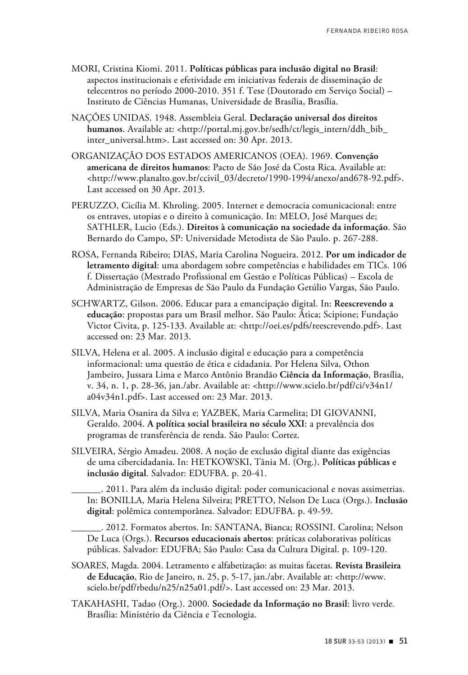- MORI, Cristina Kiomi. 2011. **Políticas públicas para inclusão digital no Brasil**: aspectos institucionais e efetividade em iniciativas federais de disseminação de telecentros no período 2000-2010. 351 f. Tese (Doutorado em Serviço Social) – Instituto de Ciências Humanas, Universidade de Brasília, Brasília.
- NAÇÕES UNIDAS. 1948. Assembleia Geral. **Declaração universal dos direitos humanos**. Available at: <http://portal.mj.gov.br/sedh/ct/legis\_intern/ddh\_bib inter\_universal.htm>. Last accessed on: 30 Apr. 2013.
- ORGANIZAÇÃO DOS ESTADOS AMERICANOS (OEA). 1969. **Convenção americana de direitos humanos**: Pacto de São José da Costa Rica. Available at: <http://www.planalto.gov.br/ccivil\_03/decreto/1990-1994/anexo/and678-92.pdf>. Last accessed on 30 Apr. 2013.
- PERUZZO, Cicília M. Khroling. 2005. Internet e democracia comunicacional: entre os entraves, utopias e o direito à comunicação. In: MELO, José Marques de; SATHLER, Lucio (Eds.). **Direitos à comunicação na sociedade da informação**. São Bernardo do Campo, SP: Universidade Metodista de São Paulo. p. 267-288.
- ROSA, Fernanda Ribeiro; DIAS, Maria Carolina Nogueira. 2012. **Por um indicador de letramento digital**: uma abordagem sobre competências e habilidades em TICs. 106 f. Dissertação (Mestrado Profissional em Gestão e Políticas Públicas) – Escola de Administração de Empresas de São Paulo da Fundação Getúlio Vargas, São Paulo.
- SCHWARTZ, Gilson. 2006. Educar para a emancipação digital. In: **Reescrevendo a educação**: propostas para um Brasil melhor. São Paulo: Ática; Scipione; Fundação Victor Civita, p. 125-133. Available at: <http://oei.es/pdfs/reescrevendo.pdf>. Last accessed on: 23 Mar. 2013.
- SILVA, Helena et al. 2005. A inclusão digital e educação para a competência informacional: uma questão de ética e cidadania. Por Helena Silva, Othon Jambeiro, Jussara Lima e Marco Antônio Brandão **Ciência da Informação**, Brasília, v. 34, n. 1, p. 28-36, jan./abr. Available at: <http://www.scielo.br/pdf/ci/v34n1/ a04v34n1.pdf>. Last accessed on: 23 Mar. 2013.
- SILVA, Maria Osanira da Silva e; YAZBEK, Maria Carmelita; DI GIOVANNI, Geraldo. 2004. **A política social brasileira no século XXI**: a prevalência dos programas de transferência de renda. São Paulo: Cortez.
- SILVEIRA, Sérgio Amadeu. 2008. A noção de exclusão digital diante das exigências de uma cibercidadania. In: HETKOWSKI, Tânia M. (Org.). **Políticas públicas e inclusão digital**. Salvador: EDUFBA. p. 20-41.
	- \_\_\_\_\_\_. 2011. Para além da inclusão digital: poder comunicacional e novas assimetrias. In: BONILLA, Maria Helena Silveira; PRETTO, Nelson De Luca (Orgs.). **Inclusão digital**: polêmica contemporânea. Salvador: EDUFBA. p. 49-59.

\_\_\_\_\_\_. 2012. Formatos abertos. In: SANTANA, Bianca; ROSSINI. Carolina; Nelson De Luca (Orgs.). **Recursos educacionais abertos**: práticas colaborativas políticas públicas. Salvador: EDUFBA; São Paulo: Casa da Cultura Digital. p. 109-120.

- SOARES, Magda. 2004. Letramento e alfabetização: as muitas facetas. **Revista Brasileira de Educação**, Rio de Janeiro, n. 25, p. 5-17, jan./abr. Available at: <http://www. scielo.br/pdf/rbedu/n25/n25a01.pdf/>. Last accessed on: 23 Mar. 2013.
- TAKAHASHI, Tadao (Org.). 2000. **Sociedade da Informação no Brasil**: livro verde*.* Brasília: Ministério da Ciência e Tecnologia.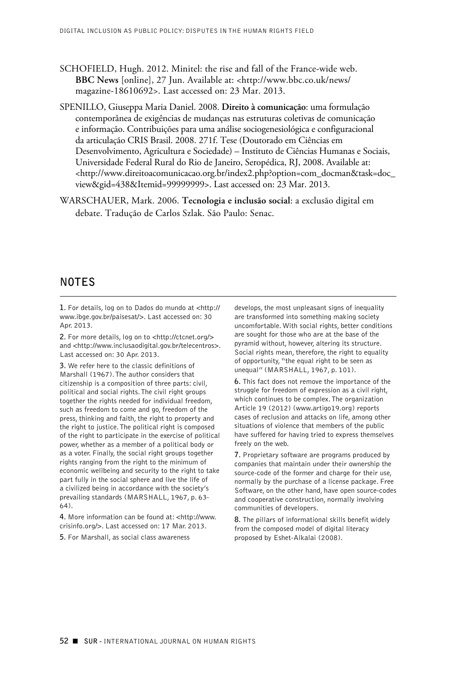- SCHOFIELD, Hugh. 2012. Minitel: the rise and fall of the France-wide web. **BBC News** [online], 27 Jun. Available at: <http://www.bbc.co.uk/news/ magazine-18610692>. Last accessed on: 23 Mar. 2013.
- SPENILLO, Giuseppa Maria Daniel. 2008. **Direito à comunicação**: uma formulação contemporânea de exigências de mudanças nas estruturas coletivas de comunicação e informação. Contribuições para uma análise sociogenesiológica e configuracional da articulação CRIS Brasil. 2008. 271f. Tese (Doutorado em Ciências em Desenvolvimento, Agricultura e Sociedade) – Instituto de Ciências Humanas e Sociais, Universidade Federal Rural do Rio de Janeiro, Seropédica, RJ, 2008. Available at: <http://www.direitoacomunicacao.org.br/index2.php?option=com\_docman&task=doc\_ view&gid=438&Itemid=99999999>. Last accessed on: 23 Mar. 2013.
- WARSCHAUER, Mark. 2006. **Tecnologia e inclusão social**: a exclusão digital em debate. Tradução de Carlos Szlak. São Paulo: Senac.

## **NOTES**

**1.** For details, log on to Dados do mundo at <http:// www.ibge.gov.br/paisesat/>. Last accessed on: 30 Apr. 2013.

**2.** For more details, log on to <http://ctcnet.org/> and <http://www.inclusaodigital.gov.br/telecentros>. Last accessed on: 30 Apr. 2013.

**3.** We refer here to the classic definitions of Marshall (1967). The author considers that citizenship is a composition of three parts: civil, political and social rights. The civil right groups together the rights needed for individual freedom, such as freedom to come and go, freedom of the press, thinking and faith, the right to property and the right to justice. The political right is composed of the right to participate in the exercise of political power, whether as a member of a political body or as a voter. Finally, the social right groups together rights ranging from the right to the minimum of economic wellbeing and security to the right to take part fully in the social sphere and live the life of a civilized being in accordance with the society's prevailing standards (MARSHALL, 1967, p. 63- 64).

**4.** More information can be found at: <http://www. crisinfo.org/>. Last accessed on: 17 Mar. 2013.

**5.** For Marshall, as social class awareness

develops, the most unpleasant signs of inequality are transformed into something making society uncomfortable. With social rights, better conditions are sought for those who are at the base of the pyramid without, however, altering its structure. Social rights mean, therefore, the right to equality of opportunity, "the equal right to be seen as unequal" (MARSHALL, 1967, p. 101).

**6.** This fact does not remove the importance of the struggle for freedom of expression as a civil right, which continues to be complex. The organization Article 19 (2012) (www.artigo19.org) reports cases of reclusion and attacks on life, among other situations of violence that members of the public have suffered for having tried to express themselves freely on the web.

**7.** Proprietary software are programs produced by companies that maintain under their ownership the source-code of the former and charge for their use, normally by the purchase of a license package. Free Software, on the other hand, have open source-codes and cooperative construction, normally involving communities of developers.

**8.** The pillars of informational skills benefit widely from the composed model of digital literacy proposed by Eshet-Alkalai (2008).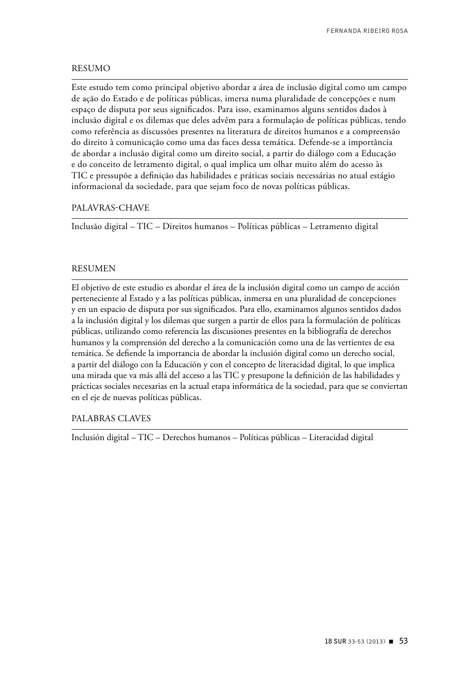## RESUMO

Este estudo tem como principal objetivo abordar a área de inclusão digital como um campo de ação do Estado e de políticas públicas, imersa numa pluralidade de concepções e num espaço de disputa por seus significados. Para isso, examinamos alguns sentidos dados à inclusão digital e os dilemas que deles advêm para a formulação de políticas públicas, tendo como referência as discussões presentes na literatura de direitos humanos e a compreensão do direito à comunicação como uma das faces dessa temática. Defende-se a importância de abordar a inclusão digital como um direito social, a partir do diálogo com a Educação e do conceito de letramento digital, o qual implica um olhar muito além do acesso às TIC e pressupõe a definição das habilidades e práticas sociais necessárias no atual estágio informacional da sociedade, para que sejam foco de novas políticas públicas.

## PALAVRAS-CHAVE

Inclusão digital – TIC – Direitos humanos – Políticas públicas – Letramento digital

## **RESUMEN**

El objetivo de este estudio es abordar el área de la inclusión digital como un campo de acción perteneciente al Estado y a las políticas públicas, inmersa en una pluralidad de concepciones y en un espacio de disputa por sus significados. Para ello, examinamos algunos sentidos dados a la inclusión digital y los dilemas que surgen a partir de ellos para la formulación de políticas públicas, utilizando como referencia las discusiones presentes en la bibliografía de derechos humanos y la comprensión del derecho a la comunicación como una de las vertientes de esa temática. Se defiende la importancia de abordar la inclusión digital como un derecho social, a partir del diálogo con la Educación y con el concepto de literacidad digital, lo que implica una mirada que va más allá del acceso a las TIC y presupone la definición de las habilidades y prácticas sociales necesarias en la actual etapa informática de la sociedad, para que se conviertan en el eje de nuevas políticas públicas.

## PALABRAS CLAVES

Inclusión digital – TIC – Derechos humanos – Políticas públicas – Literacidad digital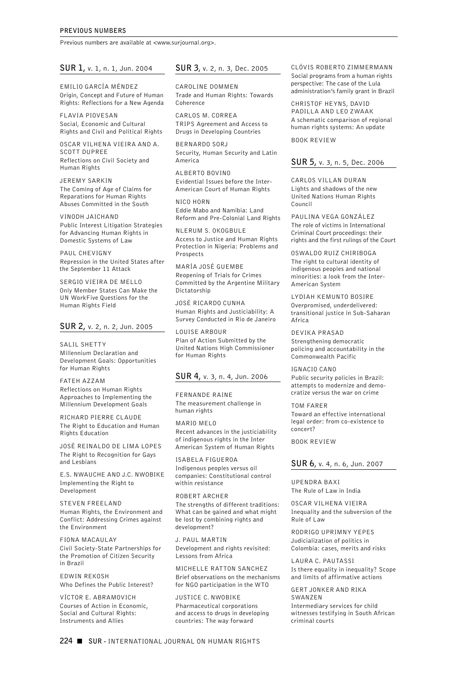### **SUR 1,** v. 1, n. 1, Jun. 2004

EMILIO GARCÍA MÉNDEZ Origin, Concept and Future of Human Rights: Reflections for a New Agenda

FLAVIA PIOVESAN Social, Economic and Cultural Rights and Civil and Political Rights

OSCAR VILHENA VIEIRA AND A. SCOTT DUPREE Reflections on Civil Society and Human Rights

JEREMY SARKIN The Coming of Age of Claims for Reparations for Human Rights Abuses Committed in the South

VINODH JAICHAND Public Interest Litigation Strategies for Advancing Human Rights in Domestic Systems of Law

PAUL CHEVIGNY Repression in the United States after the September 11 Attack

SERGIO VIEIRA DE MELLO Only Member States Can Make the UN WorkFive Questions for the Human Rights Field

### **SUR 2,** v. 2, n. 2, Jun. 2005

SALIL SHETTY Millennium Declaration and Development Goals: Opportunities for Human Rights

FATEH AZZAM Reflections on Human Rights Approaches to Implementing the Millennium Development Goals

RICHARD PIERRE CLAUDE The Right to Education and Human Rights Education

JOSÉ REINALDO DE LIMA LOPES The Right to Recognition for Gays and Lesbians

E.S. NWAUCHE AND J.C. NWOBIKE Implementing the Right to Development

STEVEN FREELAND Human Rights, the Environment and Conflict: Addressing Crimes against the Environment

FIONA MACAULAY Civil Society-State Partnerships for the Promotion of Citizen Security in Brazil

EDWIN REKOSH Who Defines the Public Interest?

VÍCTOR E. ABRAMOVICH Courses of Action in Economic, Social and Cultural Rights: Instruments and Allies

### **SUR 3,** v. 2, n. 3, Dec. 2005

CAROLINE DOMMEN Trade and Human Rights: Towards Coherence

CARLOS M. CORREA TRIPS Agreement and Access to Drugs in Developing Countries

BERNARDO SORJ Security, Human Security and Latin America

ALBERTO BOVINO Evidential Issues before the Inter-American Court of Human Rights

NICO HORN Eddie Mabo and Namibia: Land Reform and Pre-Colonial Land Rights

NLERUM S. OKOGBULE Access to Justice and Human Rights Protection in Nigeria: Problems and Prospects

MARÍA JOSÉ GUEMBE Reopening of Trials for Crimes Committed by the Argentine Military Dictatorship

JOSÉ RICARDO CUNHA Human Rights and Justiciability: A Survey Conducted in Rio de Janeiro

LOUISE ARBOUR Plan of Action Submitted by the United Nations High Commissioner for Human Rights

### **SUR 4,** v. 3, n. 4, Jun. 2006

FERNANDE RAINE The measurement challenge in human rights

MARIO MELO Recent advances in the justiciability of indigenous rights in the Inter American System of Human Rights

ISABELA FIGUEROA Indigenous peoples versus oil companies: Constitutional control within resistance

ROBERT ARCHER The strengths of different traditions: What can be gained and what might be lost by combining rights and development?

J. PAUL MARTIN Development and rights revisited: Lessons from Africa

MICHELLE RATTON SANCHEZ Brief observations on the mechanisms for NGO participation in the WTO

JUSTICE C. NWOBIKE Pharmaceutical corporations and access to drugs in developing countries: The way forward

CLÓVIS ROBERTO ZIMMERMANN Social programs from a human rights perspective: The case of the Lula administration's family grant in Brazil

CHRISTOF HEYNS, DAVID PADILLA AND LEO ZWAAK A schematic comparison of regional human rights systems: An update

BOOK REVIEW

### **SUR 5,** v. 3, n. 5, Dec. 2006

CARLOS VILLAN DURAN Lights and shadows of the new United Nations Human Rights Council

PAULINA VEGA GONZÁLEZ The role of victims in International Criminal Court proceedings: their rights and the first rulings of the Court

OSWALDO RUIZ CHIRIBOGA The right to cultural identity of indigenous peoples and national minorities: a look from the Inter-American System

LYDIAH KEMUNTO BOSIRE Overpromised, underdelivered: transitional justice in Sub-Saharan Africa

DEVIKA PRASAD Strengthening democratic policing and accountability in the Commonwealth Pacific

IGNACIO CANO Public security policies in Brazil: attempts to modernize and democratize versus the war on crime

TOM FARER Toward an effective international legal order: from co-existence to concert?

BOOK REVIEW

## **SUR 6,** v. 4, n. 6, Jun. 2007

UPENDRA BAXI The Rule of Law in India

OSCAR VILHENA VIEIRA Inequality and the subversion of the Rule of Law

RODRIGO UPRIMNY YEPES Judicialization of politics in Colombia: cases, merits and risks

LAURA C. PAUTASSI Is there equality in inequality? Scope and limits of affirmative actions

GERT JONKER AND RIKA SWANZEN Intermediary services for child witnesses testifying in South African criminal courts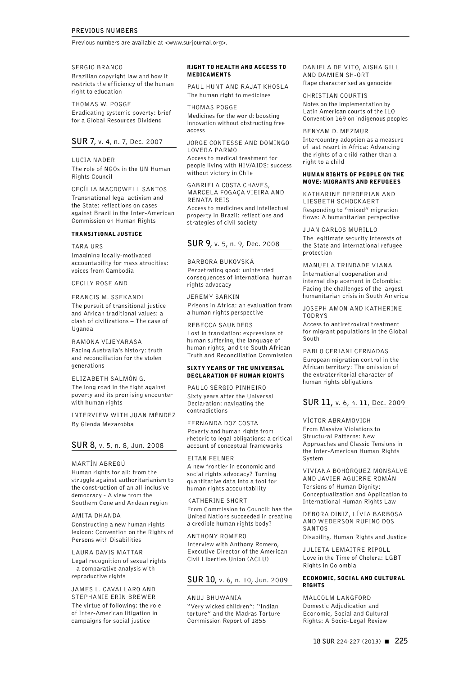#### SERGIO BRANCO

Brazilian copyright law and how it restricts the efficiency of the human right to education

THOMAS W. POGGE Eradicating systemic poverty: brief for a Global Resources Dividend

### **SUR 7,** v. 4, n. 7, Dec. 2007

LUCIA NADER The role of NGOs in the UN Human Rights Council

CECÍLIA MACDOWELL SANTOS Transnational legal activism and the State: reflections on cases against Brazil in the Inter-American Commission on Human Rights

### **TRANSITIONAL JUSTICE**

TARA URS Imagining locally-motivated accountability for mass atrocities: voices from Cambodia

CECILY ROSE AND

FRANCIS M. SSEKANDI The pursuit of transitional justice and African traditional values: a clash of civilizations – The case of Uganda

RAMONA VIJEYARASA Facing Australia's history: truth and reconciliation for the stolen generations

ELIZABETH SALMÓN G. The long road in the fight against poverty and its promising encounter with human rights

INTERVIEW WITH JUAN MÉNDEZ By Glenda Mezarobba

### **SUR 8,** v. 5, n. 8, Jun. 2008

MARTÍN ABREGÚ Human rights for all: from the struggle against authoritarianism to the construction of an all-inclusive democracy - A view from the Southern Cone and Andean region

### AMITA DHANDA

Constructing a new human rights lexicon: Convention on the Rights of Persons with Disabilities

LAURA DAVIS MATTAR Legal recognition of sexual rights – a comparative analysis with reproductive rights

JAMES L. CAVALLARO AND STEPHANIE ERIN BREWER The virtue of following: the role of Inter-American litigation in campaigns for social justice

#### **RIGHT TO HEALTH AND ACCESS TO MEDICAMENTS**

PAUL HUNT AND RAJAT KHOSLA The human right to medicines

THOMAS POGGE Medicines for the world: boosting innovation without obstructing free access

JORGE CONTESSE AND DOMINGO LOVERA PARMO Access to medical treatment for people living with HIV/AIDS: success

without victory in Chile

GABRIELA COSTA CHAVES, MARCELA FOGAÇA VIEIRA AND RENATA REIS Access to medicines and intellectual property in Brazil: reflections and strategies of civil society

## **SUR 9,** v. 5, n. 9, Dec. 2008

BARBORA BUKOVSKÁ Perpetrating good: unintended consequences of international human rights advocacy

JEREMY SARKIN Prisons in Africa: an evaluation from a human rights perspective

REBECCA SAUNDERS Lost in translation: expressions of human suffering, the language of human rights, and the South African Truth and Reconciliation Commission

### **SIXTY YEARS OF THE UNIVERSAL DECLARATION OF HUMAN RIGHTS**

PAULO SÉRGIO PINHEIRO Sixty years after the Universal Declaration: navigating the contradictions

FERNANDA DOZ COSTA Poverty and human rights from rhetoric to legal obligations: a critical account of conceptual frameworks

EITAN FELNER A new frontier in economic and social rights advocacy? Turning quantitative data into a tool for human rights accountability

KATHERINE SHORT From Commission to Council: has the United Nations succeeded in creating a credible human rights body?

ANTHONY ROMERO Interview with Anthony Romero, Executive Director of the American Civil Liberties Union (ACLU)

### **SUR 10,** v. 6, n. 10, Jun. 2009

ANUJ BHUWANIA "Very wicked children": "Indian torture" and the Madras Torture Commission Report of 1855

#### DANIELA DE VITO, AISHA GILL AND DAMIEN SH-ORT Rape characterised as genocide

CHRISTIAN COURTIS Notes on the implementation by Latin American courts of the ILO Convention 169 on indigenous peoples

BENYAM D. MEZMUR Intercountry adoption as a measure of last resort in Africa: Advancing the rights of a child rather than a right to a child

#### **HUMAN RIGHTS OF PEOPLE ON THE MOVE: MIGRANTS AND REFUGEES**

KATHARINE DERDERIAN AND LIESBETH SCHOCKAERT Responding to "mixed" migration flows: A humanitarian perspective

JUAN CARLOS MURILLO The legitimate security interests of the State and international refugee protection

MANUELA TRINDADE VIANA International cooperation and internal displacement in Colombia: Facing the challenges of the largest humanitarian crisis in South America

JOSEPH AMON AND KATHERINE TODRYS Access to antiretroviral treatment

for migrant populations in the Global South

PABLO CERIANI CERNADAS European migration control in the African territory: The omission of the extraterritorial character of human rights obligations

## **SUR 11,** v. 6, n. 11, Dec. 2009

VÍCTOR ABRAMOVICH From Massive Violations to Structural Patterns: New Approaches and Classic Tensions in the Inter-American Human Rights System

VIVIANA BOHÓRQUEZ MONSALVE AND JAVIER AGUIRRE ROMÁN Tensions of Human Dignity: Conceptualization and Application to International Human Rights Law

DEBORA DINIZ, LÍVIA BARBOSA AND WEDERSON RUFINO DOS SANTOS

Disability, Human Rights and Justice

JULIETA LEMAITRE RIPOLL Love in the Time of Cholera: LGBT Rights in Colombia

#### **ECONOMIC, SOCIAL AND CULTURAL RIGHTS**

MALCOLM LANGFORD Domestic Adjudication and Economic, Social and Cultural Rights: A Socio-Legal Review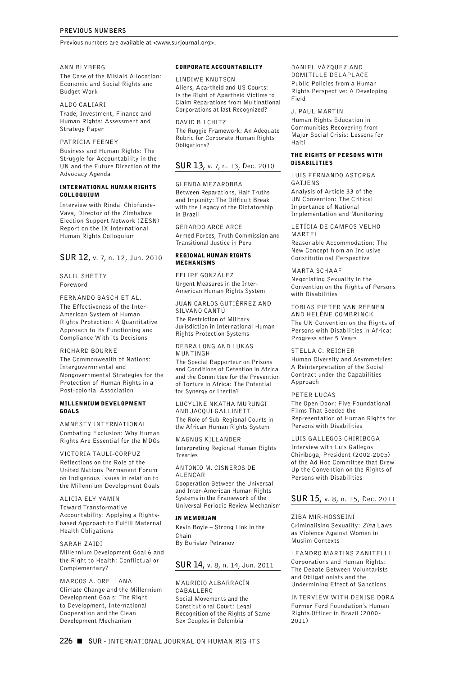#### ANN BLYBERG

The Case of the Mislaid Allocation: Economic and Social Rights and Budget Work

ALDO CALIARI Trade, Investment, Finance and Human Rights: Assessment and Strategy Paper

#### PATRICIA FEENEY

Business and Human Rights: The Struggle for Accountability in the UN and the Future Direction of the Advocacy Agenda

### **INTERNATIONAL HUMAN RIGHTS COLLOQUIUM**

Interview with Rindai Chipfunde-Vava, Director of the Zimbabwe Election Support Network (ZESN) Report on the IX International Human Rights Colloquium

### **SUR 12,** v. 7, n. 12, Jun. 2010

SALIL SHETTY Foreword

FERNANDO BASCH ET AL. The Effectiveness of the Inter-American System of Human Rights Protection: A Quantitative Approach to its Functioning and Compliance With its Decisions

#### RICHARD BOURNE

The Commonwealth of Nations: Intergovernmental and Nongovernmental Strategies for the Protection of Human Rights in a Post-colonial Association

#### **MILLENNIUM DEVELOPMENT GOALS**

AMNESTY INTERNATIONAL Combating Exclusion: Why Human Rights Are Essential for the MDGs

VICTORIA TAULI-CORPUZ Reflections on the Role of the United Nations Permanent Forum on Indigenous Issues in relation to the Millennium Development Goals

ALICIA ELY YAMIN Toward Transformative Accountability: Applying a Rightsbased Approach to Fulfill Maternal Health Obligations

SARAH ZAIDI Millennium Development Goal 6 and the Right to Health: Conflictual or Complementary?

MARCOS A. ORELLANA Climate Change and the Millennium Development Goals: The Right to Development, International Cooperation and the Clean Development Mechanism

#### **CORPORATE ACCOUNTABILITY**

#### LINDIWE KNUTSON

Aliens, Apartheid and US Courts: Is the Right of Apartheid Victims to Claim Reparations from Multinational Corporations at last Recognized?

DAVID BILCHITZ The Ruggie Framework: An Adequate Rubric for Corporate Human Rights Obligations?

## **SUR 13,** v. 7, n. 13, Dec. 2010

GLENDA MEZAROBBA Between Reparations, Half Truths and Impunity: The Difficult Break with the Legacy of the Dictatorship in Brazil

GERARDO ARCE ARCE Armed Forces, Truth Commission and Transitional Justice in Peru

#### **REGIONAL HUMAN RIGHTS MECHANISMS**

FELIPE GONZÁLEZ Urgent Measures in the Inter-American Human Rights System

JUAN CARLOS GUTIÉRREZ AND SILVANO CANTÚ The Restriction of Military Jurisdiction in International Human Rights Protection Systems

DEBRA LONG AND LUKAS MUNTINGH The Special Rapporteur on Prisons and Conditions of Detention in Africa and the Committee for the Prevention of Torture in Africa: The Potential for Synergy or Inertia?

LUCYLINE NKATHA MURUNGI AND JACQUI GALLINETTI The Role of Sub-Regional Courts in the African Human Rights System

MAGNUS KILLANDER Interpreting Regional Human Rights Treaties

ANTONIO M. CISNEROS DE ALENCAR

Cooperation Between the Universal and Inter-American Human Rights Systems in the Framework of the Universal Periodic Review Mechanism

**IN MEMORIAM**  Kevin Boyle – Strong Link in the Chain By Borislav Petranov

## **SUR 14,** v. 8, n. 14, Jun. 2011

MAURICIO ALBARRACÍN CABALLERO Social Movements and the Constitutional Court: Legal Recognition of the Rights of Same-Sex Couples in Colombia

## DANIEL VÁZQUEZ AND

DOMITILLE DELAPLACE Public Policies from a Human Rights Perspective: A Developing Field

### J. PAUL MARTIN

Human Rights Education in Communities Recovering from Major Social Crisis: Lessons for Haiti

#### **THE RIGHTS OF PERSONS WITH DISABILITIES**

LUIS FERNANDO ASTORGA GATJENS Analysis of Article 33 of the UN Convention: The Critical Importance of National Implementation and Monitoring

LETÍCIA DE CAMPOS VELHO MARTEL Reasonable Accommodation: The New Concept from an Inclusive Constitutio nal Perspective

MARTA SCHAAF Negotiating Sexuality in the Convention on the Rights of Persons with Disabilities

TOBIAS PIETER VAN REENEN AND HELÉNE COMBRINCK The UN Convention on the Rights of Persons with Disabilities in Africa: Progress after 5 Years

STELLA C. REICHER Human Diversity and Asymmetries: A Reinterpretation of the Social Contract under the Capabilities Approach

### PETER LUCAS

The Open Door: Five Foundational Films That Seeded the Representation of Human Rights for Persons with Disabilities

LUIS GALLEGOS CHIRIBOGA Interview with Luis Gallegos Chiriboga, President (2002-2005) of the Ad Hoc Committee that Drew Up the Convention on the Rights of Persons with Disabilities

## **SUR 15,** v. 8, n. 15, Dec. 2011

ZIBA MIR-HOSSEINI Criminalising Sexuality: Zina Laws as Violence Against Women in Muslim Contexts

LEANDRO MARTINS ZANITELLI Corporations and Human Rights: The Debate Between Voluntarists and Obligationists and the Undermining Effect of Sanctions

INTERVIEW WITH DENISE DORA Former Ford Foundation´s Human Rights Officer in Brazil (2000- 2011)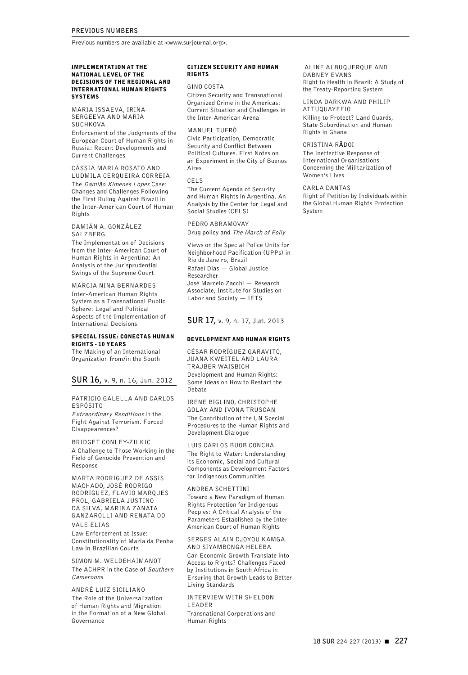#### **IMPLEMENTATION AT THE NATIONAL LEVEL OF THE DECISIONS OF THE REGIONAL AND INTERNATIONAL HUMAN RIGHTS SYSTEMS**

MARIA ISSAEVA, IRINA SERGEEVA AND MARIA **SUCHKOVA** 

Enforcement of the Judgments of the European Court of Human Rights in Russia: Recent Developments and Current Challenges

CÁSSIA MARIA ROSATO AND LUDMILA CERQUEIRA CORREIA The Damião Ximenes Lopes Case: Changes and Challenges Following the First Ruling Against Brazil in the Inter-American Court of Human Rights

DAMIÁN A. GONZÁLEZ-SALZBERG

The Implementation of Decisions from the Inter-American Court of Human Rights in Argentina: An Analysis of the Jurisprudential Swings of the Supreme Court

MARCIA NINA BERNARDES Inter-American Human Rights System as a Transnational Public Sphere: Legal and Political Aspects of the Implementation of International Decisions

### **SPECIAL ISSUE: CONECTAS HUMAN RIGHTS - 10 YEARS**

The Making of an International Organization from/in the South

### **SUR 16,** v. 9, n. 16, Jun. 2012

PATRICIO GALELLA AND CARLOS ESPÓSITO

Extraordinary Renditions in the Fight Against Terrorism. Forced Disappearences?

BRIDGET CONLEY-ZILKIC A Challenge to Those Working in the Field of Genocide Prevention and Response

MARTA RODRIGUEZ DE ASSIS MACHADO, JOSÉ RODRIGO RODRIGUEZ, FLAVIO MARQUES PROL, GABRIELA JUSTINO DA SILVA, MARINA ZANATA GANZAROLLI AND RENATA DO

VALE ELIAS Law Enforcement at Issue: Constitutionality of Maria da Penha Law in Brazilian Courts

SIMON M. WELDEHAIMANOT The ACHPR in the Case of Southern Cameroons

ANDRÉ LUIZ SICILIANO The Role of the Universalization of Human Rights and Migration in the Formation of a New Global Governance

#### **CITIZEN SECURITY AND HUMAN RIGHTS**

#### GINO COSTA

Citizen Security and Transnational Organized Crime in the Americas: Current Situation and Challenges in the Inter-American Arena

#### MANUEL TUFRÓ

Civic Participation, Democratic Security and Conflict Between Political Cultures. First Notes on an Experiment in the City of Buenos Aires

#### CELS

The Current Agenda of Security and Human Rights in Argentina. An Analysis by the Center for Legal and Social Studies (CELS)

## PEDRO ABRAMOVAY

Drug policy and The March of Folly

Views on the Special Police Units for Neighborhood Pacification (UPPs) in Rio de Janeiro, Brazil Rafael Dias — Global Justice Researcher José Marcelo Zacchi — Research Associate, Institute for Studies on Labor and Society — IETS

### **SUR 17,** v. 9, n. 17, Jun. 2013

### **DEVELOPMENT AND HUMAN RIGHTS**

CÉSAR RODRÍGUEZ GARAVITO, JUANA KWEITEL AND LAURA TRAJBER WAISBICH Development and Human Rights: Some Ideas on How to Restart the Debate

IRENE BIGLINO, CHRISTOPHE GOLAY AND IVONA TRUSCAN The Contribution of the UN Special Procedures to the Human Rights and Development Dialogue

LUIS CARLOS BUOB CONCHA The Right to Water: Understanding its Economic, Social and Cultural Components as Development Factors for Indigenous Communities

ANDREA SCHETTINI Toward a New Paradigm of Human Rights Protection for Indigenous Peoples: A Critical Analysis of the Parameters Established by the Inter-American Court of Human Rights

SERGES ALAIN DJOYOU KAMGA AND SIYAMBONGA HELEBA

Can Economic Growth Translate into Access to Rights? Challenges Faced by Institutions in South Africa in Ensuring that Growth Leads to Better Living Standards

#### INTERVIEW WITH SHELDON LEADER

Transnational Corporations and Human Rights

#### ALINE ALBUQUERQUE AND DABNEY EVANS Right to Health in Brazil: A Study of the Treaty-Reporting System

#### LINDA DARKWA AND PHILIP ATTUQUAYEFIO

Killing to Protect? Land Guards, State Subordination and Human Rights in Ghana

#### CRISTINA RĂDOI

The Ineffective Response of International Organisations Concerning the Militarization of Women's Lives

#### CARLA DANTAS

Right of Petition by Individuals within the Global Human Rights Protection System